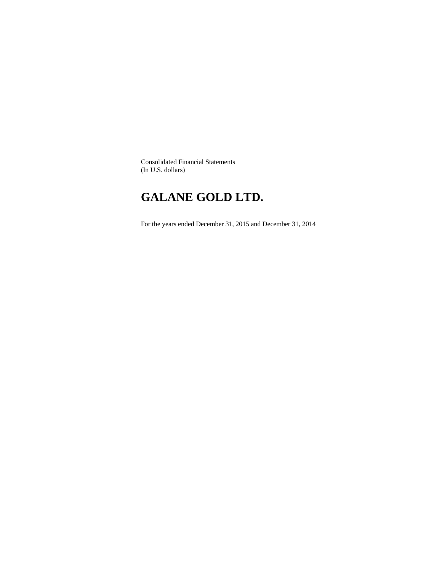Consolidated Financial Statements (In U.S. dollars)

# **GALANE GOLD LTD.**

For the years ended December 31, 2015 and December 31, 2014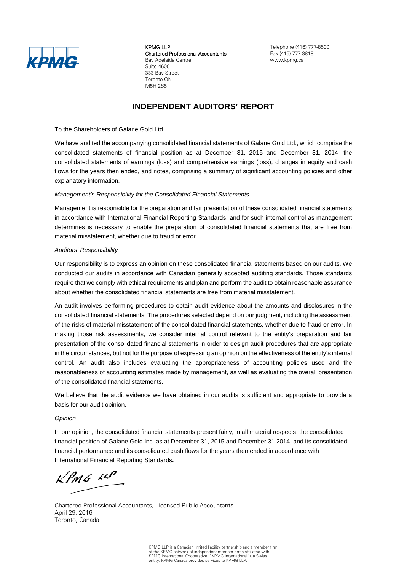

KPMG LLP Chartered Professional Accountants Bay Adelaide Centre Suite 4600 333 Bay Street Toronto ON M5H 2S5

Telephone (416) 777-8500 Fax (416) 777-8818 www.kpmg.ca

# **INDEPENDENT AUDITORS' REPORT**

To the Shareholders of Galane Gold Ltd.

We have audited the accompanying consolidated financial statements of Galane Gold Ltd., which comprise the consolidated statements of financial position as at December 31, 2015 and December 31, 2014, the consolidated statements of earnings (loss) and comprehensive earnings (loss), changes in equity and cash flows for the years then ended, and notes, comprising a summary of significant accounting policies and other explanatory information.

# *Management's Responsibility for the Consolidated Financial Statements*

Management is responsible for the preparation and fair presentation of these consolidated financial statements in accordance with International Financial Reporting Standards, and for such internal control as management determines is necessary to enable the preparation of consolidated financial statements that are free from material misstatement, whether due to fraud or error.

#### *Auditors' Responsibility*

Our responsibility is to express an opinion on these consolidated financial statements based on our audits. We conducted our audits in accordance with Canadian generally accepted auditing standards. Those standards require that we comply with ethical requirements and plan and perform the audit to obtain reasonable assurance about whether the consolidated financial statements are free from material misstatement.

An audit involves performing procedures to obtain audit evidence about the amounts and disclosures in the consolidated financial statements. The procedures selected depend on our judgment, including the assessment of the risks of material misstatement of the consolidated financial statements, whether due to fraud or error. In making those risk assessments, we consider internal control relevant to the entity's preparation and fair presentation of the consolidated financial statements in order to design audit procedures that are appropriate in the circumstances, but not for the purpose of expressing an opinion on the effectiveness of the entity's internal control. An audit also includes evaluating the appropriateness of accounting policies used and the reasonableness of accounting estimates made by management, as well as evaluating the overall presentation of the consolidated financial statements.

We believe that the audit evidence we have obtained in our audits is sufficient and appropriate to provide a basis for our audit opinion.

#### *Opinion*

In our opinion, the consolidated financial statements present fairly, in all material respects, the consolidated financial position of Galane Gold Inc. as at December 31, 2015 and December 31 2014, and its consolidated financial performance and its consolidated cash flows for the years then ended in accordance with International Financial Reporting Standards**.** 

 $k$ *PMG*  $44$ 

Chartered Professional Accountants, Licensed Public Accountants April 29, 2016 Toronto, Canada

> KPMG LLP is a Canadian limited liability partnership and a member firm of the KPMG network of independent member firms affiliated with<br>KPMG International Cooperative ("KPMG International"), a Swiss<br>entity. KPMG Canada provides services to KPMG LLP.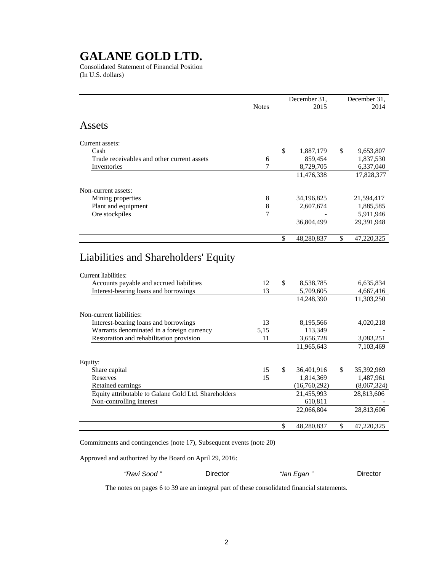Consolidated Statement of Financial Position (In U.S. dollars)

|                                                                                                           |              | December 31,                 | December 31,           |
|-----------------------------------------------------------------------------------------------------------|--------------|------------------------------|------------------------|
|                                                                                                           | <b>Notes</b> | 2015                         | 2014                   |
|                                                                                                           |              |                              |                        |
| Assets                                                                                                    |              |                              |                        |
| Current assets:                                                                                           |              |                              |                        |
| Cash                                                                                                      |              | \$<br>1,887,179              | \$<br>9,653,807        |
| Trade receivables and other current assets                                                                | 6            | 859,454                      | 1,837,530              |
| Inventories                                                                                               | $\tau$       | 8,729,705                    | 6,337,040              |
|                                                                                                           |              | 11,476,338                   | 17,828,377             |
| Non-current assets:                                                                                       |              |                              |                        |
| Mining properties                                                                                         | 8            | 34,196,825                   | 21,594,417             |
| Plant and equipment                                                                                       | 8            | 2,607,674                    | 1,885,585              |
| Ore stockpiles                                                                                            | 7            |                              | 5,911,946              |
|                                                                                                           |              | 36,804,499                   | 29,391,948             |
|                                                                                                           |              | \$<br>48,280,837             | \$<br>47,220,325       |
| Current liabilities:<br>Accounts payable and accrued liabilities<br>Interest-bearing loans and borrowings | 12<br>13     | \$<br>8,538,785<br>5,709,605 | 6,635,834<br>4,667,416 |
|                                                                                                           |              | 14,248,390                   | 11,303,250             |
| Non-current liabilities:                                                                                  |              |                              |                        |
| Interest-bearing loans and borrowings                                                                     | 13           | 8,195,566                    | 4,020,218              |
| Warrants denominated in a foreign currency                                                                | 5,15         | 113,349                      |                        |
| Restoration and rehabilitation provision                                                                  | 11           | 3,656,728                    | 3,083,251              |
|                                                                                                           |              | 11,965,643                   | 7,103,469              |
| Equity:                                                                                                   |              |                              |                        |
| Share capital                                                                                             | 15           | \$<br>36,401,916             | \$<br>35,392,969       |
| <b>Reserves</b>                                                                                           | 15           | 1,814,369                    | 1,487,961              |
| Retained earnings                                                                                         |              | (16,760,292)                 | (8,067,324)            |
| Equity attributable to Galane Gold Ltd. Shareholders                                                      |              | 21,455,993                   | 28,813,606             |
| Non-controlling interest                                                                                  |              | 610,811                      |                        |
|                                                                                                           |              | 22,066,804                   | 28,813,606             |
|                                                                                                           |              | \$<br>48,280,837             | \$<br>47,220,325       |

Commitments and contingencies (note 17), Subsequent events (note 20)

Approved and authorized by the Board on April 29, 2016:

| Ravi Sood " | Jirector | "<br>$\sim$ $\sim$<br>uar. | ⊃irector |
|-------------|----------|----------------------------|----------|
|             |          |                            |          |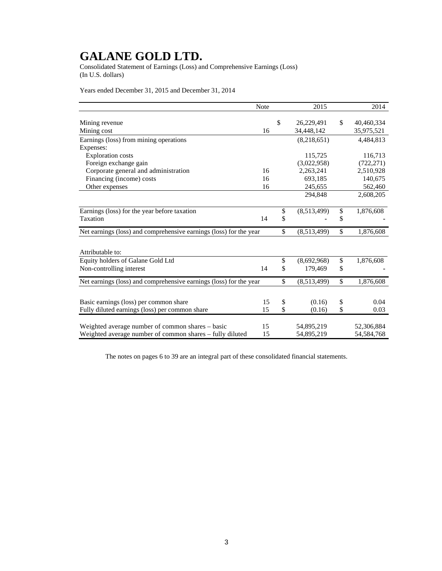Consolidated Statement of Earnings (Loss) and Comprehensive Earnings (Loss) (In U.S. dollars)

Years ended December 31, 2015 and December 31, 2014

| Note                                                               |                                                                                      | 2015                                                                                         |                                                                                                      | 2014                       |
|--------------------------------------------------------------------|--------------------------------------------------------------------------------------|----------------------------------------------------------------------------------------------|------------------------------------------------------------------------------------------------------|----------------------------|
|                                                                    |                                                                                      |                                                                                              |                                                                                                      |                            |
|                                                                    |                                                                                      |                                                                                              |                                                                                                      | 40,460,334                 |
| 16                                                                 |                                                                                      | 34,448,142                                                                                   |                                                                                                      | 35,975,521                 |
|                                                                    |                                                                                      | (8,218,651)                                                                                  |                                                                                                      | 4,484,813                  |
|                                                                    |                                                                                      |                                                                                              |                                                                                                      |                            |
|                                                                    |                                                                                      | 115,725                                                                                      |                                                                                                      | 116,713                    |
|                                                                    |                                                                                      | (3,022,958)                                                                                  |                                                                                                      | (722, 271)                 |
| 16                                                                 |                                                                                      | 2,263,241                                                                                    |                                                                                                      | 2,510,928                  |
| 16                                                                 |                                                                                      | 693.185                                                                                      |                                                                                                      | 140,675                    |
| 16                                                                 |                                                                                      | 245,655                                                                                      |                                                                                                      | 562,460                    |
|                                                                    |                                                                                      | 294,848                                                                                      |                                                                                                      | 2,608,205                  |
|                                                                    |                                                                                      |                                                                                              |                                                                                                      |                            |
|                                                                    | \$                                                                                   |                                                                                              | \$                                                                                                   | 1,876,608                  |
| 14                                                                 | \$                                                                                   |                                                                                              | \$                                                                                                   |                            |
| Net earnings (loss) and comprehensive earnings (loss) for the year | \$                                                                                   | (8,513,499)                                                                                  | \$                                                                                                   | 1,876,608                  |
|                                                                    |                                                                                      |                                                                                              |                                                                                                      |                            |
|                                                                    |                                                                                      |                                                                                              |                                                                                                      |                            |
|                                                                    |                                                                                      |                                                                                              |                                                                                                      | 1,876,608                  |
| 14                                                                 | \$                                                                                   |                                                                                              | \$                                                                                                   |                            |
|                                                                    |                                                                                      |                                                                                              |                                                                                                      |                            |
|                                                                    |                                                                                      |                                                                                              |                                                                                                      | 1,876,608                  |
|                                                                    |                                                                                      |                                                                                              |                                                                                                      |                            |
|                                                                    |                                                                                      |                                                                                              |                                                                                                      | 0.04                       |
|                                                                    |                                                                                      |                                                                                              |                                                                                                      | 0.03                       |
|                                                                    |                                                                                      |                                                                                              |                                                                                                      |                            |
|                                                                    |                                                                                      |                                                                                              |                                                                                                      | 52,306,884                 |
|                                                                    |                                                                                      | 54,895,219                                                                                   |                                                                                                      | 54,584,768                 |
|                                                                    | Net earnings (loss) and comprehensive earnings (loss) for the year<br>15<br>15<br>15 | \$<br>\$<br>\$<br>\$<br>\$<br>Weighted average number of common shares - fully diluted<br>15 | 26,229,491<br>(8,513,499)<br>(8,692,968)<br>179,469<br>(8,513,499)<br>(0.16)<br>(0.16)<br>54,895,219 | \$<br>\$<br>\$<br>\$<br>\$ |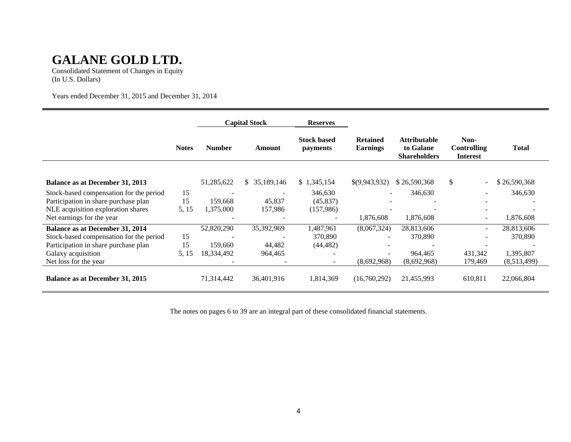Consolidated Statement of Changes in Equity (In U.S. Dollars)

Years ended December 31, 2015 and December 31, 2014

|                                         |              | <b>Capital Stock</b><br><b>Reserves</b> |              |                                       |                                    |                                                         |                                               |              |
|-----------------------------------------|--------------|-----------------------------------------|--------------|---------------------------------------|------------------------------------|---------------------------------------------------------|-----------------------------------------------|--------------|
|                                         | <b>Notes</b> | <b>Number</b>                           | Amount       | <b>Stock based</b><br><i>payments</i> | <b>Retained</b><br><b>Earnings</b> | <b>Attributable</b><br>to Galane<br><b>Shareholders</b> | Non-<br><b>Controlling</b><br><b>Interest</b> | <b>Total</b> |
|                                         |              |                                         |              |                                       |                                    |                                                         |                                               |              |
| Balance as at December 31, 2013         |              | 51,285,622                              | \$35,189,146 | \$1,345,154                           | \$(9,943,932)                      | \$26,590,368                                            | \$<br>$\overline{\phantom{0}}$                | \$26,590,368 |
| Stock-based compensation for the period | 15           |                                         |              | 346,630                               |                                    | 346,630                                                 | $\sim$                                        | 346,630      |
| Participation in share purchase plan    | 15           | 159,668                                 | 45,837       | (45, 837)                             |                                    |                                                         | $\overline{\phantom{a}}$                      |              |
| NLE acquisition exploration shares      | 5, 15        | 1,375,000                               | 157,986      | (157,986)                             |                                    |                                                         | ۰                                             |              |
| Net earnings for the year               |              |                                         |              |                                       | 1,876,608                          | 1,876,608                                               | $\overline{\phantom{a}}$                      | 1,876,608    |
| <b>Balance as at December 31, 2014</b>  |              | 52,820,290                              | 35,392,969   | 1,487,961                             | (8,067,324)                        | 28,813,606                                              | $\sim$                                        | 28,813,606   |
| Stock-based compensation for the period | 15           |                                         |              | 370,890                               |                                    | 370,890                                                 | $\overline{\phantom{a}}$                      | 370,890      |
| Participation in share purchase plan    | 15           | 159,660                                 | 44,482       | (44, 482)                             |                                    |                                                         |                                               |              |
| Galaxy acquisition                      | 5, 15        | 18,334,492                              | 964,465      |                                       |                                    | 964,465                                                 | 431,342                                       | 1,395,807    |
| Net loss for the year                   |              |                                         |              |                                       | (8,692,968)                        | (8,692,968)                                             | 179,469                                       | (8,513,499)  |
| <b>Balance as at December 31, 2015</b>  |              | 71,314,442                              | 36,401,916   | 1,814,369                             | (16,760,292)                       | 21,455,993                                              | 610,811                                       | 22,066,804   |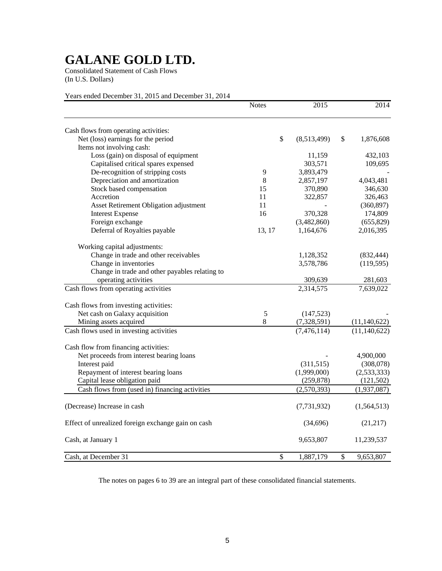Consolidated Statement of Cash Flows (In U.S. Dollars)

# Years ended December 31, 2015 and December 31, 2014

|                                                    | <b>Notes</b> | 2015          | 2014            |
|----------------------------------------------------|--------------|---------------|-----------------|
| Cash flows from operating activities:              |              |               |                 |
| Net (loss) earnings for the period                 | \$           | (8,513,499)   | \$<br>1,876,608 |
| Items not involving cash:                          |              |               |                 |
| Loss (gain) on disposal of equipment               |              | 11,159        | 432,103         |
| Capitalised critical spares expensed               |              | 303,571       | 109,695         |
| De-recognition of stripping costs                  | 9            | 3,893,479     |                 |
| Depreciation and amortization                      | 8            | 2,857,197     | 4,043,481       |
| Stock based compensation                           | 15           | 370,890       | 346,630         |
| Accretion                                          | 11           | 322,857       | 326,463         |
| Asset Retirement Obligation adjustment             | 11           |               | (360, 897)      |
| <b>Interest Expense</b>                            | 16           | 370,328       | 174,809         |
| Foreign exchange                                   |              | (3,482,860)   | (655, 829)      |
| Deferral of Royalties payable                      | 13, 17       | 1,164,676     | 2,016,395       |
| Working capital adjustments:                       |              |               |                 |
| Change in trade and other receivables              |              | 1,128,352     | (832, 444)      |
| Change in inventories                              |              | 3,578,786     | (119, 595)      |
| Change in trade and other payables relating to     |              |               |                 |
| operating activities                               |              | 309,639       | 281,603         |
| Cash flows from operating activities               |              | 2,314,575     | 7,639,022       |
| Cash flows from investing activities:              |              |               |                 |
| Net cash on Galaxy acquisition                     | 5            | (147, 523)    |                 |
| Mining assets acquired                             | 8            | (7,328,591)   | (11, 140, 622)  |
| Cash flows used in investing activities            |              | (7, 476, 114) | (11, 140, 622)  |
| Cash flow from financing activities:               |              |               |                 |
| Net proceeds from interest bearing loans           |              |               | 4,900,000       |
| Interest paid                                      |              | (311, 515)    | (308,078)       |
| Repayment of interest bearing loans                |              | (1,999,000)   | (2,533,333)     |
| Capital lease obligation paid                      |              | (259, 878)    | (121, 502)      |
| Cash flows from (used in) financing activities     |              | (2,570,393)   | (1,937,087)     |
| (Decrease) Increase in cash                        |              | (7, 731, 932) | (1, 564, 513)   |
| Effect of unrealized foreign exchange gain on cash |              | (34,696)      | (21,217)        |
| Cash, at January 1                                 |              | 9,653,807     | 11,239,537      |
| Cash, at December 31                               | \$           | 1,887,179     | \$<br>9,653,807 |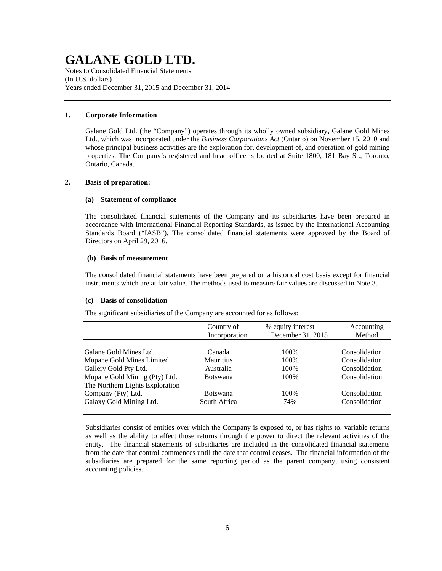Notes to Consolidated Financial Statements (In U.S. dollars) Years ended December 31, 2015 and December 31, 2014

## **1. Corporate Information**

Galane Gold Ltd. (the "Company") operates through its wholly owned subsidiary, Galane Gold Mines Ltd., which was incorporated under the *Business Corporations Act* (Ontario) on November 15, 2010 and whose principal business activities are the exploration for, development of, and operation of gold mining properties. The Company's registered and head office is located at Suite 1800, 181 Bay St., Toronto, Ontario, Canada.

### **2. Basis of preparation:**

#### **(a) Statement of compliance**

The consolidated financial statements of the Company and its subsidiaries have been prepared in accordance with International Financial Reporting Standards, as issued by the International Accounting Standards Board ("IASB"). The consolidated financial statements were approved by the Board of Directors on April 29, 2016.

#### **(b) Basis of measurement**

The consolidated financial statements have been prepared on a historical cost basis except for financial instruments which are at fair value. The methods used to measure fair values are discussed in Note 3.

#### **(c) Basis of consolidation**

The significant subsidiaries of the Company are accounted for as follows:

|                                 | Country of<br>Incorporation | % equity interest<br>December 31, 2015 | Accounting<br>Method |
|---------------------------------|-----------------------------|----------------------------------------|----------------------|
|                                 |                             |                                        |                      |
| Galane Gold Mines Ltd.          | Canada                      | 100\%                                  | Consolidation        |
| Mupane Gold Mines Limited       | <b>Mauritius</b>            | 100%                                   | Consolidation        |
| Gallery Gold Pty Ltd.           | Australia                   | 100\%                                  | Consolidation        |
| Mupane Gold Mining (Pty) Ltd.   | <b>Botswana</b>             | 100%                                   | Consolidation        |
| The Northern Lights Exploration |                             |                                        |                      |
| Company (Pty) Ltd.              | <b>Botswana</b>             | 100\%                                  | Consolidation        |
| Galaxy Gold Mining Ltd.         | South Africa                | 74%                                    | Consolidation        |

Subsidiaries consist of entities over which the Company is exposed to, or has rights to, variable returns as well as the ability to affect those returns through the power to direct the relevant activities of the entity. The financial statements of subsidiaries are included in the consolidated financial statements from the date that control commences until the date that control ceases. The financial information of the subsidiaries are prepared for the same reporting period as the parent company, using consistent accounting policies.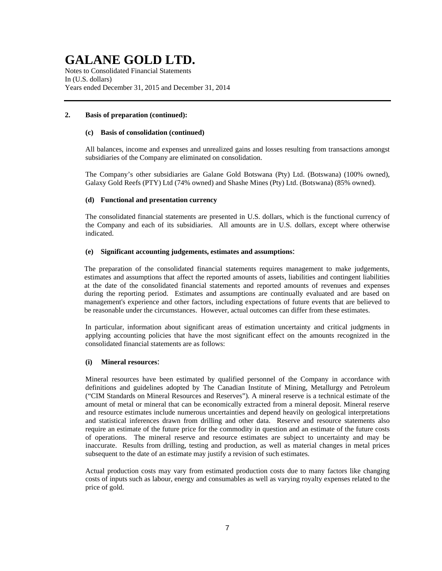Notes to Consolidated Financial Statements In (U.S. dollars) Years ended December 31, 2015 and December 31, 2014

# **2. Basis of preparation (continued):**

## **(c) Basis of consolidation (continued)**

All balances, income and expenses and unrealized gains and losses resulting from transactions amongst subsidiaries of the Company are eliminated on consolidation.

The Company's other subsidiaries are Galane Gold Botswana (Pty) Ltd. (Botswana) (100% owned), Galaxy Gold Reefs (PTY) Ltd (74% owned) and Shashe Mines (Pty) Ltd. (Botswana) (85% owned).

# **(d) Functional and presentation currency**

The consolidated financial statements are presented in U.S. dollars, which is the functional currency of the Company and each of its subsidiaries. All amounts are in U.S. dollars, except where otherwise indicated.

### **(e) Significant accounting judgements, estimates and assumptions**:

The preparation of the consolidated financial statements requires management to make judgements, estimates and assumptions that affect the reported amounts of assets, liabilities and contingent liabilities at the date of the consolidated financial statements and reported amounts of revenues and expenses during the reporting period. Estimates and assumptions are continually evaluated and are based on management's experience and other factors, including expectations of future events that are believed to be reasonable under the circumstances. However, actual outcomes can differ from these estimates.

In particular, information about significant areas of estimation uncertainty and critical judgments in applying accounting policies that have the most significant effect on the amounts recognized in the consolidated financial statements are as follows:

# **(i) Mineral resources**:

Mineral resources have been estimated by qualified personnel of the Company in accordance with definitions and guidelines adopted by The Canadian Institute of Mining, Metallurgy and Petroleum ("CIM Standards on Mineral Resources and Reserves"). A mineral reserve is a technical estimate of the amount of metal or mineral that can be economically extracted from a mineral deposit. Mineral reserve and resource estimates include numerous uncertainties and depend heavily on geological interpretations and statistical inferences drawn from drilling and other data. Reserve and resource statements also require an estimate of the future price for the commodity in question and an estimate of the future costs of operations. The mineral reserve and resource estimates are subject to uncertainty and may be inaccurate. Results from drilling, testing and production, as well as material changes in metal prices subsequent to the date of an estimate may justify a revision of such estimates.

Actual production costs may vary from estimated production costs due to many factors like changing costs of inputs such as labour, energy and consumables as well as varying royalty expenses related to the price of gold.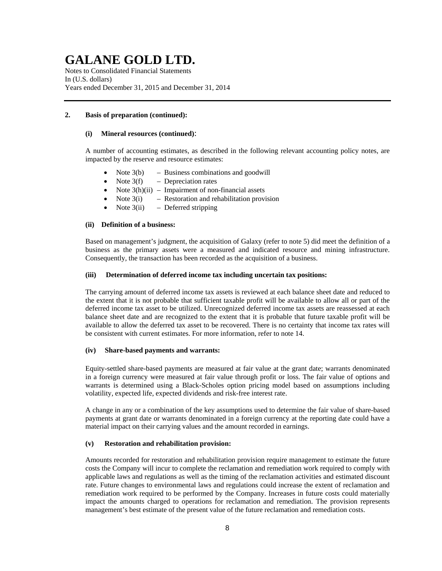Notes to Consolidated Financial Statements In (U.S. dollars) Years ended December 31, 2015 and December 31, 2014

# **2. Basis of preparation (continued):**

## **(i) Mineral resources (continued)**:

A number of accounting estimates, as described in the following relevant accounting policy notes, are impacted by the reserve and resource estimates:

- Note  $3(b)$  Business combinations and goodwill
- Note  $3(f)$  Depreciation rates
- Note  $3(h)(ii)$  Impairment of non-financial assets
- Note  $3(i)$  Restoration and rehabilitation provision
- Note  $3(ii)$  Deferred stripping

# **(ii) Definition of a business:**

Based on management's judgment, the acquisition of Galaxy (refer to note 5) did meet the definition of a business as the primary assets were a measured and indicated resource and mining infrastructure. Consequently, the transaction has been recorded as the acquisition of a business.

### **(iii) Determination of deferred income tax including uncertain tax positions:**

The carrying amount of deferred income tax assets is reviewed at each balance sheet date and reduced to the extent that it is not probable that sufficient taxable profit will be available to allow all or part of the deferred income tax asset to be utilized. Unrecognized deferred income tax assets are reassessed at each balance sheet date and are recognized to the extent that it is probable that future taxable profit will be available to allow the deferred tax asset to be recovered. There is no certainty that income tax rates will be consistent with current estimates. For more information, refer to note 14.

# **(iv) Share-based payments and warrants:**

Equity-settled share-based payments are measured at fair value at the grant date; warrants denominated in a foreign currency were measured at fair value through profit or loss. The fair value of options and warrants is determined using a Black-Scholes option pricing model based on assumptions including volatility, expected life, expected dividends and risk-free interest rate.

A change in any or a combination of the key assumptions used to determine the fair value of share-based payments at grant date or warrants denominated in a foreign currency at the reporting date could have a material impact on their carrying values and the amount recorded in earnings.

# **(v) Restoration and rehabilitation provision:**

Amounts recorded for restoration and rehabilitation provision require management to estimate the future costs the Company will incur to complete the reclamation and remediation work required to comply with applicable laws and regulations as well as the timing of the reclamation activities and estimated discount rate. Future changes to environmental laws and regulations could increase the extent of reclamation and remediation work required to be performed by the Company. Increases in future costs could materially impact the amounts charged to operations for reclamation and remediation. The provision represents management's best estimate of the present value of the future reclamation and remediation costs.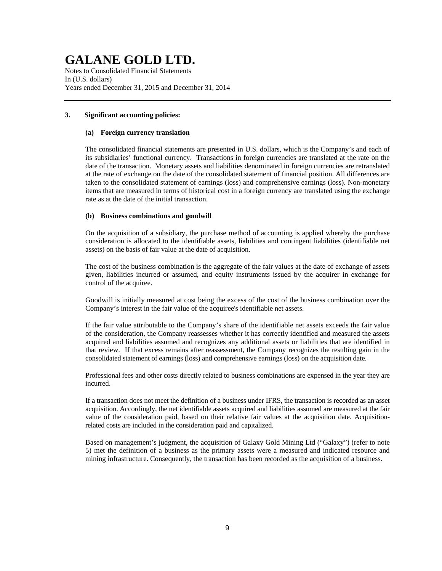Notes to Consolidated Financial Statements In (U.S. dollars) Years ended December 31, 2015 and December 31, 2014

# **3. Significant accounting policies:**

### **(a) Foreign currency translation**

The consolidated financial statements are presented in U.S. dollars, which is the Company's and each of its subsidiaries' functional currency. Transactions in foreign currencies are translated at the rate on the date of the transaction. Monetary assets and liabilities denominated in foreign currencies are retranslated at the rate of exchange on the date of the consolidated statement of financial position. All differences are taken to the consolidated statement of earnings (loss) and comprehensive earnings (loss). Non-monetary items that are measured in terms of historical cost in a foreign currency are translated using the exchange rate as at the date of the initial transaction.

# **(b) Business combinations and goodwill**

On the acquisition of a subsidiary, the purchase method of accounting is applied whereby the purchase consideration is allocated to the identifiable assets, liabilities and contingent liabilities (identifiable net assets) on the basis of fair value at the date of acquisition.

The cost of the business combination is the aggregate of the fair values at the date of exchange of assets given, liabilities incurred or assumed, and equity instruments issued by the acquirer in exchange for control of the acquiree.

Goodwill is initially measured at cost being the excess of the cost of the business combination over the Company's interest in the fair value of the acquiree's identifiable net assets.

If the fair value attributable to the Company's share of the identifiable net assets exceeds the fair value of the consideration, the Company reassesses whether it has correctly identified and measured the assets acquired and liabilities assumed and recognizes any additional assets or liabilities that are identified in that review. If that excess remains after reassessment, the Company recognizes the resulting gain in the consolidated statement of earnings (loss) and comprehensive earnings (loss) on the acquisition date.

Professional fees and other costs directly related to business combinations are expensed in the year they are incurred.

If a transaction does not meet the definition of a business under IFRS, the transaction is recorded as an asset acquisition. Accordingly, the net identifiable assets acquired and liabilities assumed are measured at the fair value of the consideration paid, based on their relative fair values at the acquisition date. Acquisitionrelated costs are included in the consideration paid and capitalized.

Based on management's judgment, the acquisition of Galaxy Gold Mining Ltd ("Galaxy") (refer to note 5) met the definition of a business as the primary assets were a measured and indicated resource and mining infrastructure. Consequently, the transaction has been recorded as the acquisition of a business.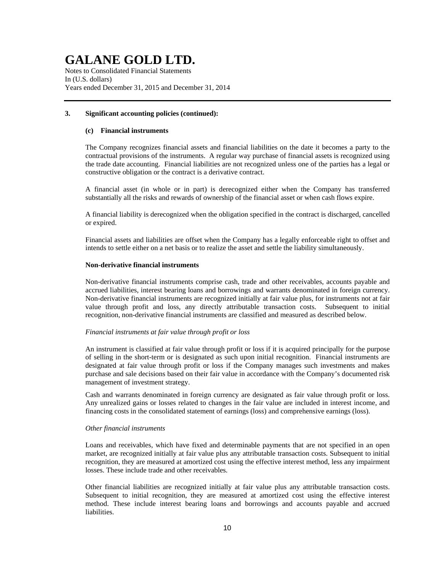Notes to Consolidated Financial Statements In (U.S. dollars) Years ended December 31, 2015 and December 31, 2014

#### **3. Significant accounting policies (continued):**

#### **(c) Financial instruments**

The Company recognizes financial assets and financial liabilities on the date it becomes a party to the contractual provisions of the instruments. A regular way purchase of financial assets is recognized using the trade date accounting. Financial liabilities are not recognized unless one of the parties has a legal or constructive obligation or the contract is a derivative contract.

A financial asset (in whole or in part) is derecognized either when the Company has transferred substantially all the risks and rewards of ownership of the financial asset or when cash flows expire.

A financial liability is derecognized when the obligation specified in the contract is discharged, cancelled or expired.

Financial assets and liabilities are offset when the Company has a legally enforceable right to offset and intends to settle either on a net basis or to realize the asset and settle the liability simultaneously.

#### **Non-derivative financial instruments**

Non-derivative financial instruments comprise cash, trade and other receivables, accounts payable and accrued liabilities, interest bearing loans and borrowings and warrants denominated in foreign currency. Non-derivative financial instruments are recognized initially at fair value plus, for instruments not at fair value through profit and loss, any directly attributable transaction costs. Subsequent to initial recognition, non-derivative financial instruments are classified and measured as described below.

#### *Financial instruments at fair value through profit or loss*

An instrument is classified at fair value through profit or loss if it is acquired principally for the purpose of selling in the short-term or is designated as such upon initial recognition. Financial instruments are designated at fair value through profit or loss if the Company manages such investments and makes purchase and sale decisions based on their fair value in accordance with the Company's documented risk management of investment strategy.

Cash and warrants denominated in foreign currency are designated as fair value through profit or loss. Any unrealized gains or losses related to changes in the fair value are included in interest income, and financing costs in the consolidated statement of earnings (loss) and comprehensive earnings (loss).

#### *Other financial instruments*

Loans and receivables, which have fixed and determinable payments that are not specified in an open market, are recognized initially at fair value plus any attributable transaction costs. Subsequent to initial recognition, they are measured at amortized cost using the effective interest method, less any impairment losses. These include trade and other receivables.

Other financial liabilities are recognized initially at fair value plus any attributable transaction costs. Subsequent to initial recognition, they are measured at amortized cost using the effective interest method. These include interest bearing loans and borrowings and accounts payable and accrued liabilities.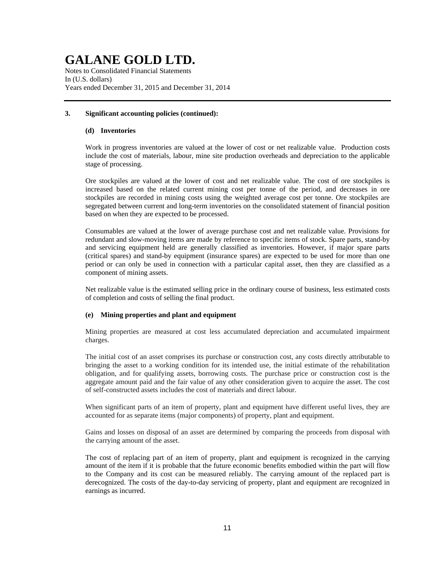Notes to Consolidated Financial Statements In (U.S. dollars) Years ended December 31, 2015 and December 31, 2014

## **3. Significant accounting policies (continued):**

#### **(d) Inventories**

Work in progress inventories are valued at the lower of cost or net realizable value. Production costs include the cost of materials, labour, mine site production overheads and depreciation to the applicable stage of processing.

Ore stockpiles are valued at the lower of cost and net realizable value. The cost of ore stockpiles is increased based on the related current mining cost per tonne of the period, and decreases in ore stockpiles are recorded in mining costs using the weighted average cost per tonne. Ore stockpiles are segregated between current and long-term inventories on the consolidated statement of financial position based on when they are expected to be processed.

Consumables are valued at the lower of average purchase cost and net realizable value. Provisions for redundant and slow-moving items are made by reference to specific items of stock. Spare parts, stand-by and servicing equipment held are generally classified as inventories. However, if major spare parts (critical spares) and stand-by equipment (insurance spares) are expected to be used for more than one period or can only be used in connection with a particular capital asset, then they are classified as a component of mining assets.

Net realizable value is the estimated selling price in the ordinary course of business, less estimated costs of completion and costs of selling the final product.

# **(e) Mining properties and plant and equipment**

Mining properties are measured at cost less accumulated depreciation and accumulated impairment charges.

The initial cost of an asset comprises its purchase or construction cost, any costs directly attributable to bringing the asset to a working condition for its intended use, the initial estimate of the rehabilitation obligation, and for qualifying assets, borrowing costs. The purchase price or construction cost is the aggregate amount paid and the fair value of any other consideration given to acquire the asset. The cost of self-constructed assets includes the cost of materials and direct labour.

When significant parts of an item of property, plant and equipment have different useful lives, they are accounted for as separate items (major components) of property, plant and equipment.

Gains and losses on disposal of an asset are determined by comparing the proceeds from disposal with the carrying amount of the asset.

The cost of replacing part of an item of property, plant and equipment is recognized in the carrying amount of the item if it is probable that the future economic benefits embodied within the part will flow to the Company and its cost can be measured reliably. The carrying amount of the replaced part is derecognized. The costs of the day-to-day servicing of property, plant and equipment are recognized in earnings as incurred.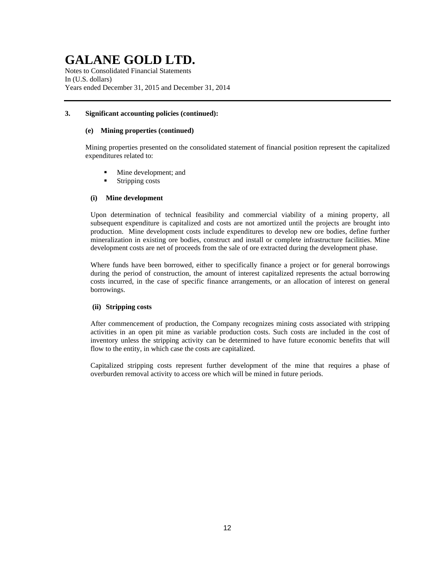Notes to Consolidated Financial Statements In (U.S. dollars) Years ended December 31, 2015 and December 31, 2014

# **3. Significant accounting policies (continued):**

## **(e) Mining properties (continued)**

Mining properties presented on the consolidated statement of financial position represent the capitalized expenditures related to:

- Mine development; and
- Stripping costs

# **(i) Mine development**

Upon determination of technical feasibility and commercial viability of a mining property, all subsequent expenditure is capitalized and costs are not amortized until the projects are brought into production. Mine development costs include expenditures to develop new ore bodies, define further mineralization in existing ore bodies, construct and install or complete infrastructure facilities. Mine development costs are net of proceeds from the sale of ore extracted during the development phase.

Where funds have been borrowed, either to specifically finance a project or for general borrowings during the period of construction, the amount of interest capitalized represents the actual borrowing costs incurred, in the case of specific finance arrangements, or an allocation of interest on general borrowings.

# **(ii) Stripping costs**

After commencement of production, the Company recognizes mining costs associated with stripping activities in an open pit mine as variable production costs. Such costs are included in the cost of inventory unless the stripping activity can be determined to have future economic benefits that will flow to the entity, in which case the costs are capitalized.

Capitalized stripping costs represent further development of the mine that requires a phase of overburden removal activity to access ore which will be mined in future periods.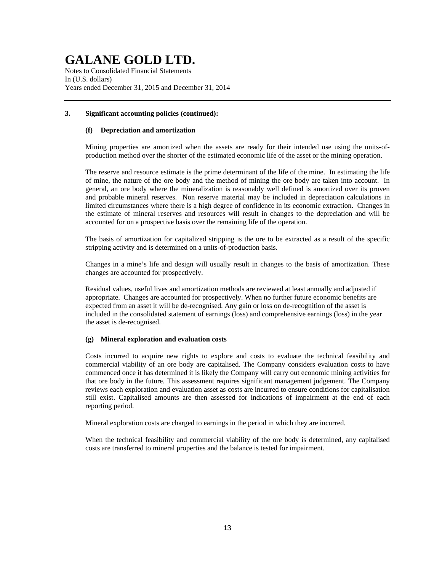Notes to Consolidated Financial Statements In (U.S. dollars) Years ended December 31, 2015 and December 31, 2014

## **3. Significant accounting policies (continued):**

#### **(f) Depreciation and amortization**

Mining properties are amortized when the assets are ready for their intended use using the units-ofproduction method over the shorter of the estimated economic life of the asset or the mining operation.

The reserve and resource estimate is the prime determinant of the life of the mine. In estimating the life of mine, the nature of the ore body and the method of mining the ore body are taken into account. In general, an ore body where the mineralization is reasonably well defined is amortized over its proven and probable mineral reserves. Non reserve material may be included in depreciation calculations in limited circumstances where there is a high degree of confidence in its economic extraction. Changes in the estimate of mineral reserves and resources will result in changes to the depreciation and will be accounted for on a prospective basis over the remaining life of the operation.

The basis of amortization for capitalized stripping is the ore to be extracted as a result of the specific stripping activity and is determined on a units-of-production basis.

Changes in a mine's life and design will usually result in changes to the basis of amortization. These changes are accounted for prospectively.

Residual values, useful lives and amortization methods are reviewed at least annually and adjusted if appropriate. Changes are accounted for prospectively. When no further future economic benefits are expected from an asset it will be de-recognised. Any gain or loss on de-recognition of the asset is included in the consolidated statement of earnings (loss) and comprehensive earnings (loss) in the year the asset is de-recognised.

#### **(g) Mineral exploration and evaluation costs**

Costs incurred to acquire new rights to explore and costs to evaluate the technical feasibility and commercial viability of an ore body are capitalised. The Company considers evaluation costs to have commenced once it has determined it is likely the Company will carry out economic mining activities for that ore body in the future. This assessment requires significant management judgement. The Company reviews each exploration and evaluation asset as costs are incurred to ensure conditions for capitalisation still exist. Capitalised amounts are then assessed for indications of impairment at the end of each reporting period.

Mineral exploration costs are charged to earnings in the period in which they are incurred.

When the technical feasibility and commercial viability of the ore body is determined, any capitalised costs are transferred to mineral properties and the balance is tested for impairment.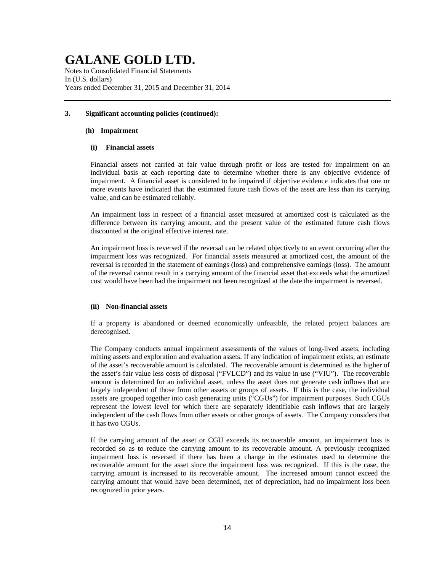Notes to Consolidated Financial Statements In (U.S. dollars) Years ended December 31, 2015 and December 31, 2014

#### **3. Significant accounting policies (continued):**

#### **(h) Impairment**

#### **(i) Financial assets**

Financial assets not carried at fair value through profit or loss are tested for impairment on an individual basis at each reporting date to determine whether there is any objective evidence of impairment. A financial asset is considered to be impaired if objective evidence indicates that one or more events have indicated that the estimated future cash flows of the asset are less than its carrying value, and can be estimated reliably.

An impairment loss in respect of a financial asset measured at amortized cost is calculated as the difference between its carrying amount, and the present value of the estimated future cash flows discounted at the original effective interest rate.

An impairment loss is reversed if the reversal can be related objectively to an event occurring after the impairment loss was recognized. For financial assets measured at amortized cost, the amount of the reversal is recorded in the statement of earnings (loss) and comprehensive earnings (loss). The amount of the reversal cannot result in a carrying amount of the financial asset that exceeds what the amortized cost would have been had the impairment not been recognized at the date the impairment is reversed.

#### **(ii) Non-financial assets**

If a property is abandoned or deemed economically unfeasible, the related project balances are derecognised.

The Company conducts annual impairment assessments of the values of long-lived assets, including mining assets and exploration and evaluation assets. If any indication of impairment exists, an estimate of the asset's recoverable amount is calculated. The recoverable amount is determined as the higher of the asset's fair value less costs of disposal ("FVLCD") and its value in use ("VIU"). The recoverable amount is determined for an individual asset, unless the asset does not generate cash inflows that are largely independent of those from other assets or groups of assets. If this is the case, the individual assets are grouped together into cash generating units ("CGUs") for impairment purposes. Such CGUs represent the lowest level for which there are separately identifiable cash inflows that are largely independent of the cash flows from other assets or other groups of assets. The Company considers that it has two CGUs.

If the carrying amount of the asset or CGU exceeds its recoverable amount, an impairment loss is recorded so as to reduce the carrying amount to its recoverable amount. A previously recognized impairment loss is reversed if there has been a change in the estimates used to determine the recoverable amount for the asset since the impairment loss was recognized. If this is the case, the carrying amount is increased to its recoverable amount. The increased amount cannot exceed the carrying amount that would have been determined, net of depreciation, had no impairment loss been recognized in prior years.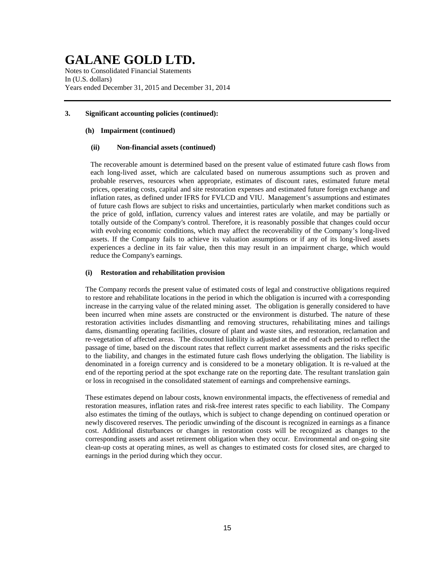Notes to Consolidated Financial Statements In (U.S. dollars) Years ended December 31, 2015 and December 31, 2014

### **3. Significant accounting policies (continued):**

#### **(h) Impairment (continued)**

#### **(ii) Non-financial assets (continued)**

The recoverable amount is determined based on the present value of estimated future cash flows from each long-lived asset, which are calculated based on numerous assumptions such as proven and probable reserves, resources when appropriate, estimates of discount rates, estimated future metal prices, operating costs, capital and site restoration expenses and estimated future foreign exchange and inflation rates, as defined under IFRS for FVLCD and VIU. Management's assumptions and estimates of future cash flows are subject to risks and uncertainties, particularly when market conditions such as the price of gold, inflation, currency values and interest rates are volatile, and may be partially or totally outside of the Company's control. Therefore, it is reasonably possible that changes could occur with evolving economic conditions, which may affect the recoverability of the Company's long-lived assets. If the Company fails to achieve its valuation assumptions or if any of its long-lived assets experiences a decline in its fair value, then this may result in an impairment charge, which would reduce the Company's earnings.

#### **(i) Restoration and rehabilitation provision**

The Company records the present value of estimated costs of legal and constructive obligations required to restore and rehabilitate locations in the period in which the obligation is incurred with a corresponding increase in the carrying value of the related mining asset. The obligation is generally considered to have been incurred when mine assets are constructed or the environment is disturbed. The nature of these restoration activities includes dismantling and removing structures, rehabilitating mines and tailings dams, dismantling operating facilities, closure of plant and waste sites, and restoration, reclamation and re-vegetation of affected areas. The discounted liability is adjusted at the end of each period to reflect the passage of time, based on the discount rates that reflect current market assessments and the risks specific to the liability, and changes in the estimated future cash flows underlying the obligation. The liability is denominated in a foreign currency and is considered to be a monetary obligation. It is re-valued at the end of the reporting period at the spot exchange rate on the reporting date. The resultant translation gain or loss in recognised in the consolidated statement of earnings and comprehensive earnings.

These estimates depend on labour costs, known environmental impacts, the effectiveness of remedial and restoration measures, inflation rates and risk-free interest rates specific to each liability. The Company also estimates the timing of the outlays, which is subject to change depending on continued operation or newly discovered reserves. The periodic unwinding of the discount is recognized in earnings as a finance cost. Additional disturbances or changes in restoration costs will be recognized as changes to the corresponding assets and asset retirement obligation when they occur. Environmental and on-going site clean-up costs at operating mines, as well as changes to estimated costs for closed sites, are charged to earnings in the period during which they occur.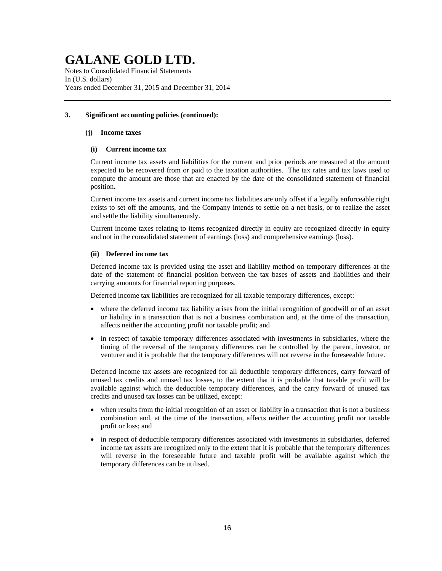Notes to Consolidated Financial Statements In (U.S. dollars) Years ended December 31, 2015 and December 31, 2014

# **3. Significant accounting policies (continued):**

#### **(j) Income taxes**

#### **(i) Current income tax**

Current income tax assets and liabilities for the current and prior periods are measured at the amount expected to be recovered from or paid to the taxation authorities. The tax rates and tax laws used to compute the amount are those that are enacted by the date of the consolidated statement of financial position**.** 

Current income tax assets and current income tax liabilities are only offset if a legally enforceable right exists to set off the amounts, and the Company intends to settle on a net basis, or to realize the asset and settle the liability simultaneously.

Current income taxes relating to items recognized directly in equity are recognized directly in equity and not in the consolidated statement of earnings (loss) and comprehensive earnings (loss).

#### **(ii) Deferred income tax**

Deferred income tax is provided using the asset and liability method on temporary differences at the date of the statement of financial position between the tax bases of assets and liabilities and their carrying amounts for financial reporting purposes.

Deferred income tax liabilities are recognized for all taxable temporary differences, except:

- where the deferred income tax liability arises from the initial recognition of goodwill or of an asset or liability in a transaction that is not a business combination and, at the time of the transaction, affects neither the accounting profit nor taxable profit; and
- in respect of taxable temporary differences associated with investments in subsidiaries, where the timing of the reversal of the temporary differences can be controlled by the parent, investor, or venturer and it is probable that the temporary differences will not reverse in the foreseeable future.

Deferred income tax assets are recognized for all deductible temporary differences, carry forward of unused tax credits and unused tax losses, to the extent that it is probable that taxable profit will be available against which the deductible temporary differences, and the carry forward of unused tax credits and unused tax losses can be utilized, except:

- when results from the initial recognition of an asset or liability in a transaction that is not a business combination and, at the time of the transaction, affects neither the accounting profit nor taxable profit or loss; and
- in respect of deductible temporary differences associated with investments in subsidiaries, deferred income tax assets are recognized only to the extent that it is probable that the temporary differences will reverse in the foreseeable future and taxable profit will be available against which the temporary differences can be utilised.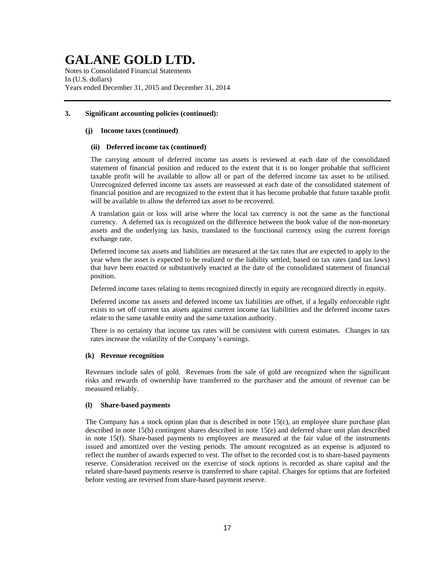Notes to Consolidated Financial Statements In (U.S. dollars) Years ended December 31, 2015 and December 31, 2014

### **3. Significant accounting policies (continued):**

#### **(j) Income taxes (continued)**

### **(ii) Deferred income tax (continued)**

The carrying amount of deferred income tax assets is reviewed at each date of the consolidated statement of financial position and reduced to the extent that it is no longer probable that sufficient taxable profit will be available to allow all or part of the deferred income tax asset to be utilised. Unrecognized deferred income tax assets are reassessed at each date of the consolidated statement of financial position and are recognized to the extent that it has become probable that future taxable profit will be available to allow the deferred tax asset to be recovered.

A translation gain or loss will arise where the local tax currency is not the same as the functional currency. A deferred tax is recognized on the difference between the book value of the non-monetary assets and the underlying tax basis, translated to the functional currency using the current foreign exchange rate.

Deferred income tax assets and liabilities are measured at the tax rates that are expected to apply to the year when the asset is expected to be realized or the liability settled, based on tax rates (and tax laws) that have been enacted or substantively enacted at the date of the consolidated statement of financial position.

Deferred income taxes relating to items recognized directly in equity are recognized directly in equity.

Deferred income tax assets and deferred income tax liabilities are offset, if a legally enforceable right exists to set off current tax assets against current income tax liabilities and the deferred income taxes relate to the same taxable entity and the same taxation authority.

There is no certainty that income tax rates will be consistent with current estimates. Changes in tax rates increase the volatility of the Company's earnings.

#### **(k) Revenue recognition**

Revenues include sales of gold. Revenues from the sale of gold are recognized when the significant risks and rewards of ownership have transferred to the purchaser and the amount of revenue can be measured reliably.

#### **(l) Share-based payments**

The Company has a stock option plan that is described in note 15(c), an employee share purchase plan described in note 15(b) contingent shares described in note 15(e) and deferred share unit plan described in note 15(f). Share-based payments to employees are measured at the fair value of the instruments issued and amortized over the vesting periods. The amount recognized as an expense is adjusted to reflect the number of awards expected to vest. The offset to the recorded cost is to share-based payments reserve. Consideration received on the exercise of stock options is recorded as share capital and the related share-based payments reserve is transferred to share capital. Charges for options that are forfeited before vesting are reversed from share-based payment reserve.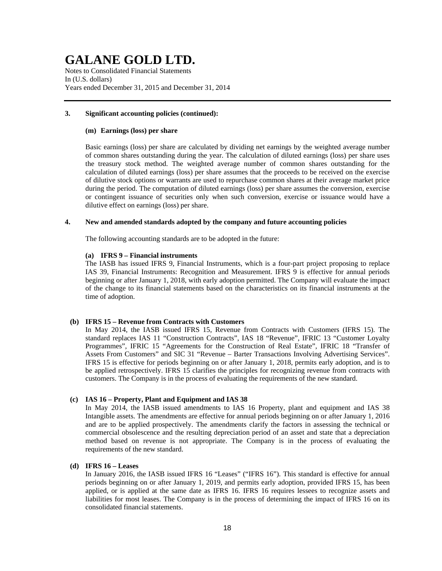Notes to Consolidated Financial Statements In (U.S. dollars) Years ended December 31, 2015 and December 31, 2014

#### **3. Significant accounting policies (continued):**

### **(m) Earnings (loss) per share**

Basic earnings (loss) per share are calculated by dividing net earnings by the weighted average number of common shares outstanding during the year. The calculation of diluted earnings (loss) per share uses the treasury stock method. The weighted average number of common shares outstanding for the calculation of diluted earnings (loss) per share assumes that the proceeds to be received on the exercise of dilutive stock options or warrants are used to repurchase common shares at their average market price during the period. The computation of diluted earnings (loss) per share assumes the conversion, exercise or contingent issuance of securities only when such conversion, exercise or issuance would have a dilutive effect on earnings (loss) per share.

### **4. New and amended standards adopted by the company and future accounting policies**

The following accounting standards are to be adopted in the future:

#### **(a) IFRS 9 – Financial instruments**

The IASB has issued IFRS 9, Financial Instruments, which is a four-part project proposing to replace IAS 39, Financial Instruments: Recognition and Measurement. IFRS 9 is effective for annual periods beginning or after January 1, 2018, with early adoption permitted. The Company will evaluate the impact of the change to its financial statements based on the characteristics on its financial instruments at the time of adoption.

### **(b) IFRS 15 – Revenue from Contracts with Customers**

In May 2014, the IASB issued IFRS 15, Revenue from Contracts with Customers (IFRS 15). The standard replaces IAS 11 "Construction Contracts", IAS 18 "Revenue", IFRIC 13 "Customer Loyalty Programmes", IFRIC 15 "Agreements for the Construction of Real Estate", IFRIC 18 "Transfer of Assets From Customers" and SIC 31 "Revenue – Barter Transactions Involving Advertising Services". IFRS 15 is effective for periods beginning on or after January 1, 2018, permits early adoption, and is to be applied retrospectively. IFRS 15 clarifies the principles for recognizing revenue from contracts with customers. The Company is in the process of evaluating the requirements of the new standard.

#### **(c) IAS 16 – Property, Plant and Equipment and IAS 38**

In May 2014, the IASB issued amendments to IAS 16 Property, plant and equipment and IAS 38 Intangible assets. The amendments are effective for annual periods beginning on or after January 1, 2016 and are to be applied prospectively. The amendments clarify the factors in assessing the technical or commercial obsolescence and the resulting depreciation period of an asset and state that a depreciation method based on revenue is not appropriate. The Company is in the process of evaluating the requirements of the new standard.

#### **(d) IFRS 16 – Leases**

In January 2016, the IASB issued IFRS 16 "Leases" ("IFRS 16"). This standard is effective for annual periods beginning on or after January 1, 2019, and permits early adoption, provided IFRS 15, has been applied, or is applied at the same date as IFRS 16. IFRS 16 requires lessees to recognize assets and liabilities for most leases. The Company is in the process of determining the impact of IFRS 16 on its consolidated financial statements.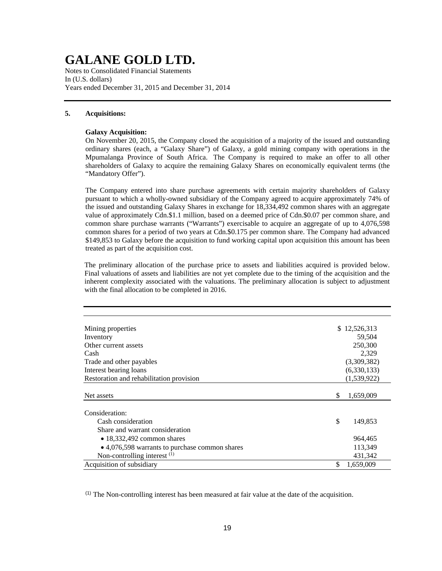Notes to Consolidated Financial Statements In (U.S. dollars) Years ended December 31, 2015 and December 31, 2014

# **5. Acquisitions:**

#### **Galaxy Acquisition:**

On November 20, 2015, the Company closed the acquisition of a majority of the issued and outstanding ordinary shares (each, a "Galaxy Share") of Galaxy, a gold mining company with operations in the Mpumalanga Province of South Africa. The Company is required to make an offer to all other shareholders of Galaxy to acquire the remaining Galaxy Shares on economically equivalent terms (the "Mandatory Offer").

The Company entered into share purchase agreements with certain majority shareholders of Galaxy pursuant to which a wholly-owned subsidiary of the Company agreed to acquire approximately 74% of the issued and outstanding Galaxy Shares in exchange for 18,334,492 common shares with an aggregate value of approximately Cdn.\$1.1 million, based on a deemed price of Cdn.\$0.07 per common share, and common share purchase warrants ("Warrants") exercisable to acquire an aggregate of up to 4,076,598 common shares for a period of two years at Cdn.\$0.175 per common share. The Company had advanced \$149,853 to Galaxy before the acquisition to fund working capital upon acquisition this amount has been treated as part of the acquisition cost.

The preliminary allocation of the purchase price to assets and liabilities acquired is provided below. Final valuations of assets and liabilities are not yet complete due to the timing of the acquisition and the inherent complexity associated with the valuations. The preliminary allocation is subject to adjustment with the final allocation to be completed in 2016.

| Mining properties                              | \$12,526,313    |
|------------------------------------------------|-----------------|
| Inventory                                      | 59,504          |
| Other current assets                           | 250,300         |
| Cash                                           | 2,329           |
| Trade and other payables                       | (3,309,382)     |
| Interest bearing loans                         | (6,330,133)     |
| Restoration and rehabilitation provision       | (1,539,922)     |
| Net assets                                     | 1,659,009<br>S  |
| Consideration:                                 |                 |
| Cash consideration                             | \$<br>149,853   |
| Share and warrant consideration                |                 |
| $\bullet$ 18,332,492 common shares             | 964,465         |
| • 4,076,598 warrants to purchase common shares | 113,349         |
| Non-controlling interest $(1)$                 | 431,342         |
| Acquisition of subsidiary                      | \$<br>1,659,009 |

 $<sup>(1)</sup>$  The Non-controlling interest has been measured at fair value at the date of the acquisition.</sup>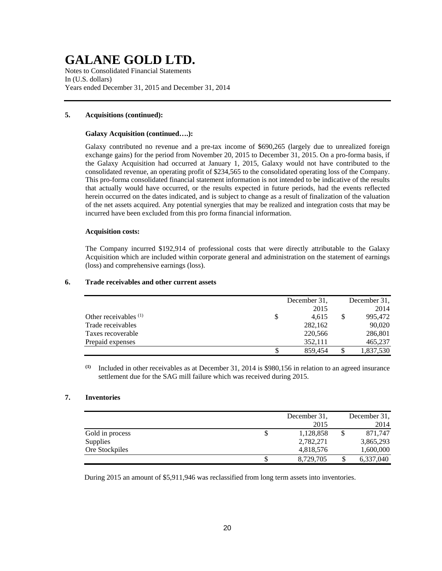Notes to Consolidated Financial Statements In (U.S. dollars) Years ended December 31, 2015 and December 31, 2014

# **5. Acquisitions (continued):**

## **Galaxy Acquisition (continued….):**

Galaxy contributed no revenue and a pre-tax income of \$690,265 (largely due to unrealized foreign exchange gains) for the period from November 20, 2015 to December 31, 2015. On a pro-forma basis, if the Galaxy Acquisition had occurred at January 1, 2015, Galaxy would not have contributed to the consolidated revenue, an operating profit of \$234,565 to the consolidated operating loss of the Company. This pro-forma consolidated financial statement information is not intended to be indicative of the results that actually would have occurred, or the results expected in future periods, had the events reflected herein occurred on the dates indicated, and is subject to change as a result of finalization of the valuation of the net assets acquired. Any potential synergies that may be realized and integration costs that may be incurred have been excluded from this pro forma financial information.

### **Acquisition costs:**

The Company incurred \$192,914 of professional costs that were directly attributable to the Galaxy Acquisition which are included within corporate general and administration on the statement of earnings (loss) and comprehensive earnings (loss).

# **6. Trade receivables and other current assets**

|                         | December 31, | December 31, |
|-------------------------|--------------|--------------|
|                         | 2015         | 2014         |
| Other receivables $(1)$ | 4.615        | 995,472      |
| Trade receivables       | 282,162      | 90,020       |
| Taxes recoverable       | 220,566      | 286,801      |
| Prepaid expenses        | 352,111      | 465,237      |
|                         | 859.454      | 1,837,530    |

**(1)** Included in other receivables as at December 31, 2014 is \$980,156 in relation to an agreed insurance settlement due for the SAG mill failure which was received during 2015.

# **7. Inventories**

|                 | December 31,    | December 31, |
|-----------------|-----------------|--------------|
|                 | 2015            | 2014         |
| Gold in process | \$<br>1,128,858 | 871.747      |
| <b>Supplies</b> | 2,782,271       | 3,865,293    |
| Ore Stockpiles  | 4,818,576       | 1,600,000    |
|                 | 8,729,705       | 6,337,040    |

During 2015 an amount of \$5,911,946 was reclassified from long term assets into inventories.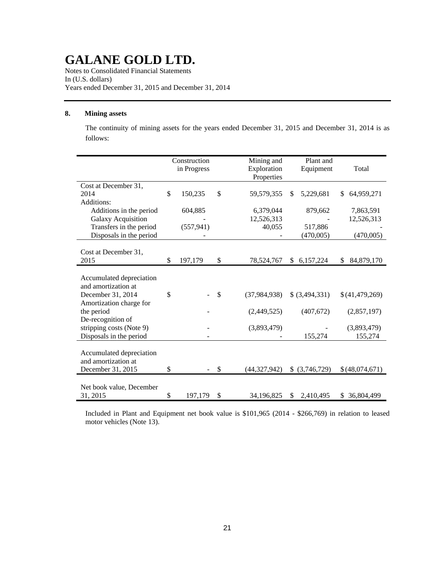Notes to Consolidated Financial Statements In (U.S. dollars) Years ended December 31, 2015 and December 31, 2014

### **8. Mining assets**

The continuity of mining assets for the years ended December 31, 2015 and December 31, 2014 is as follows:

|                                                 | Construction  |               | Mining and                |           | Plant and       |                  |  |
|-------------------------------------------------|---------------|---------------|---------------------------|-----------|-----------------|------------------|--|
|                                                 | in Progress   |               | Exploration<br>Properties | Equipment |                 | Total            |  |
| Cost at December 31,                            |               |               |                           |           |                 |                  |  |
| 2014                                            | \$<br>150,235 | \$            | 59,579,355                | \$        | 5,229,681       | 64,959,271<br>\$ |  |
| Additions:                                      |               |               |                           |           |                 |                  |  |
| Additions in the period                         | 604,885       |               | 6,379,044                 |           | 879,662         | 7,863,591        |  |
| <b>Galaxy Acquisition</b>                       |               |               | 12,526,313                |           |                 | 12,526,313       |  |
| Transfers in the period                         | (557, 941)    |               | 40,055                    |           | 517,886         |                  |  |
| Disposals in the period                         |               |               |                           |           | (470,005)       | (470,005)        |  |
| Cost at December 31,                            |               |               |                           |           |                 |                  |  |
| 2015                                            | \$<br>197,179 | \$            | 78,524,767                | \$        | 6,157,224       | 84,879,170<br>\$ |  |
|                                                 |               |               |                           |           |                 |                  |  |
| Accumulated depreciation<br>and amortization at |               |               |                           |           |                 |                  |  |
| December 31, 2014                               | \$            | \$            | (37, 984, 938)            |           | \$ (3,494,331)  | \$(41,479,269)   |  |
| Amortization charge for                         |               |               |                           |           |                 |                  |  |
| the period                                      |               |               | (2,449,525)               |           | (407, 672)      | (2,857,197)      |  |
| De-recognition of                               |               |               |                           |           |                 |                  |  |
| stripping costs (Note 9)                        |               |               | (3,893,479)               |           |                 | (3,893,479)      |  |
| Disposals in the period                         |               |               |                           |           | 155,274         | 155,274          |  |
|                                                 |               |               |                           |           |                 |                  |  |
| Accumulated depreciation<br>and amortization at |               |               |                           |           |                 |                  |  |
| December 31, 2015                               | \$            | $\mathcal{S}$ | (44, 327, 942)            |           | $$$ (3,746,729) | \$(48,074,671)   |  |
|                                                 |               |               |                           |           |                 |                  |  |
| Net book value, December                        |               |               |                           |           |                 |                  |  |
| 31, 2015                                        | \$<br>197,179 | \$            | 34,196,825                | \$        | 2,410,495       | 36,804,499<br>\$ |  |

Included in Plant and Equipment net book value is \$101,965 (2014 - \$266,769) in relation to leased motor vehicles (Note 13).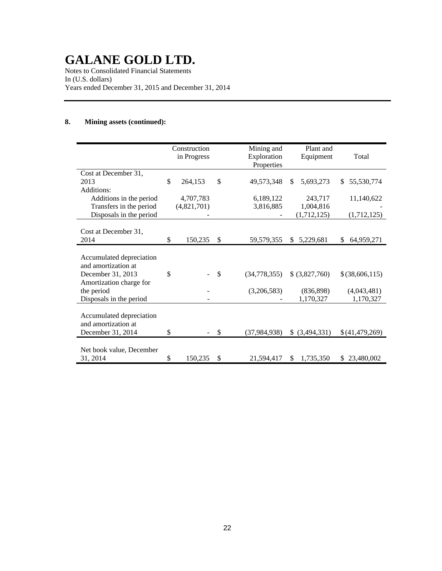Notes to Consolidated Financial Statements In (U.S. dollars) Years ended December 31, 2015 and December 31, 2014

# **8. Mining assets (continued):**

|                                                 | Construction<br>in Progress |              | Mining and<br>Exploration<br>Properties |     | Plant and<br>Equipment | Total            |
|-------------------------------------------------|-----------------------------|--------------|-----------------------------------------|-----|------------------------|------------------|
| Cost at December 31,                            |                             |              |                                         |     |                        |                  |
| 2013                                            | \$<br>264,153               | \$           | 49,573,348                              | \$. | 5,693,273              | 55,530,774<br>\$ |
| Additions:                                      |                             |              |                                         |     |                        |                  |
| Additions in the period                         | 4,707,783                   |              | 6,189,122                               |     | 243,717                | 11,140,622       |
| Transfers in the period                         | (4,821,701)                 |              | 3,816,885                               |     | 1,004,816              |                  |
| Disposals in the period                         |                             |              |                                         |     | (1,712,125)            | (1,712,125)      |
|                                                 |                             |              |                                         |     |                        |                  |
| Cost at December 31,                            |                             |              |                                         |     |                        |                  |
| 2014                                            | \$<br>150,235               | $\mathbb{S}$ | 59,579,355                              |     | \$5,229,681            | 64,959,271<br>\$ |
| Accumulated depreciation<br>and amortization at |                             |              |                                         |     |                        |                  |
| December 31, 2013<br>Amortization charge for    | \$                          | \$           | (34,778,355)                            |     | \$ (3,827,760)         | $$$ (38,606,115) |
| the period                                      |                             |              | (3,206,583)                             |     | (836, 898)             | (4,043,481)      |
| Disposals in the period                         |                             |              |                                         |     | 1,170,327              | 1,170,327        |
| Accumulated depreciation<br>and amortization at |                             |              |                                         |     |                        |                  |
| December 31, 2014                               | \$                          | \$           | (37,984,938)                            |     | \$ (3,494,331)         | \$(41,479,269)   |
| Net book value, December<br>31, 2014            | \$<br>150,235               | \$           | 21,594,417                              | \$  | 1,735,350              | \$23,480,002     |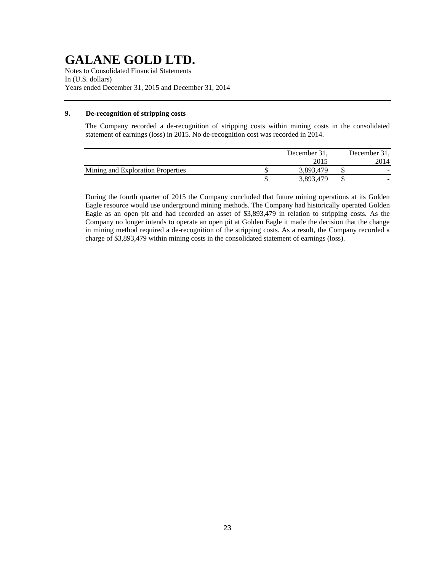Notes to Consolidated Financial Statements In (U.S. dollars) Years ended December 31, 2015 and December 31, 2014

# **9. De-recognition of stripping costs**

The Company recorded a de-recognition of stripping costs within mining costs in the consolidated statement of earnings (loss) in 2015. No de-recognition cost was recorded in 2014.

|                                   | December 31, | December 31, |
|-----------------------------------|--------------|--------------|
|                                   | 2015         | 2014         |
| Mining and Exploration Properties | 3.893.479    |              |
|                                   | 3,893,479    |              |

During the fourth quarter of 2015 the Company concluded that future mining operations at its Golden Eagle resource would use underground mining methods. The Company had historically operated Golden Eagle as an open pit and had recorded an asset of \$3,893,479 in relation to stripping costs. As the Company no longer intends to operate an open pit at Golden Eagle it made the decision that the change in mining method required a de-recognition of the stripping costs. As a result, the Company recorded a charge of \$3,893,479 within mining costs in the consolidated statement of earnings (loss).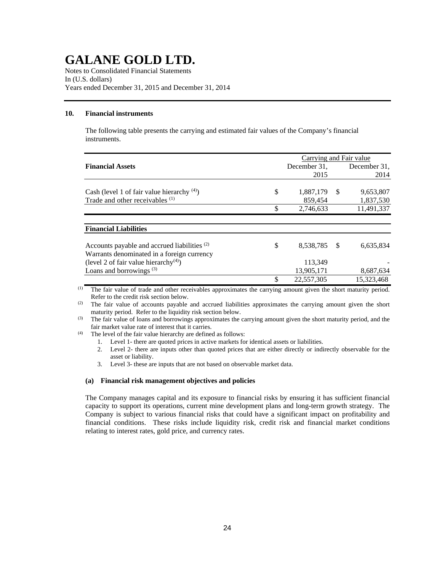Notes to Consolidated Financial Statements In (U.S. dollars) Years ended December 31, 2015 and December 31, 2014

### **10. Financial instruments**

The following table presents the carrying and estimated fair values of the Company's financial instruments.

|                                                         |    | Carrying and Fair value |    |              |
|---------------------------------------------------------|----|-------------------------|----|--------------|
| <b>Financial Assets</b>                                 |    | December 31,            |    | December 31, |
|                                                         |    | 2015                    |    | 2014         |
|                                                         |    |                         |    |              |
| Cash (level 1 of fair value hierarchy $(4)$ )           | \$ | 1,887,179               | S  | 9,653,807    |
| Trade and other receivables (1)                         |    | 859,454                 |    | 1,837,530    |
|                                                         | \$ | 2,746,633               |    | 11,491,337   |
|                                                         |    |                         |    |              |
| <b>Financial Liabilities</b>                            |    |                         |    |              |
| Accounts payable and accrued liabilities <sup>(2)</sup> | \$ | 8.538.785               | -S | 6.635.834    |
| Warrants denominated in a foreign currency              |    |                         |    |              |
| (level 2 of fair value hierarchy <sup>(4)</sup> )       |    | 113,349                 |    |              |
| Loans and borrowings $(3)$                              |    | 13,905,171              |    | 8,687,634    |
|                                                         | S  | 22,557,305              |    | 15.323.468   |

(1) The fair value of trade and other receivables approximates the carrying amount given the short maturity period. Refer to the credit risk section below.

(2) The fair value of accounts payable and accrued liabilities approximates the carrying amount given the short maturity period. Refer to the liquidity risk section below.

(3) The fair value of loans and borrowings approximates the carrying amount given the short maturity period, and the fair market value rate of interest that it carries.

 $(4)$  The level of the fair value hierarchy are defined as follows:

- 1. Level 1- there are quoted prices in active markets for identical assets or liabilities.
- 2. Level 2- there are inputs other than quoted prices that are either directly or indirectly observable for the asset or liability.

3. Level 3- these are inputs that are not based on observable market data.

#### **(a) Financial risk management objectives and policies**

The Company manages capital and its exposure to financial risks by ensuring it has sufficient financial capacity to support its operations, current mine development plans and long-term growth strategy. The Company is subject to various financial risks that could have a significant impact on profitability and financial conditions. These risks include liquidity risk, credit risk and financial market conditions relating to interest rates, gold price, and currency rates.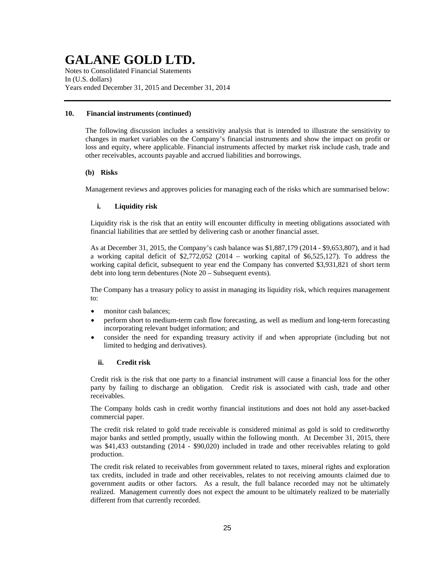Notes to Consolidated Financial Statements In (U.S. dollars) Years ended December 31, 2015 and December 31, 2014

#### **10. Financial instruments (continued)**

The following discussion includes a sensitivity analysis that is intended to illustrate the sensitivity to changes in market variables on the Company's financial instruments and show the impact on profit or loss and equity, where applicable. Financial instruments affected by market risk include cash, trade and other receivables, accounts payable and accrued liabilities and borrowings.

### **(b) Risks**

Management reviews and approves policies for managing each of the risks which are summarised below:

# **i. Liquidity risk**

Liquidity risk is the risk that an entity will encounter difficulty in meeting obligations associated with financial liabilities that are settled by delivering cash or another financial asset.

As at December 31, 2015, the Company's cash balance was \$1,887,179 (2014 - \$9,653,807), and it had a working capital deficit of \$2,772,052 (2014 – working capital of \$6,525,127). To address the working capital deficit, subsequent to year end the Company has converted \$3,931,821 of short term debt into long term debentures (Note 20 – Subsequent events).

The Company has a treasury policy to assist in managing its liquidity risk, which requires management to:

- monitor cash balances;
- perform short to medium-term cash flow forecasting, as well as medium and long-term forecasting incorporating relevant budget information; and
- consider the need for expanding treasury activity if and when appropriate (including but not limited to hedging and derivatives).

# **ii. Credit risk**

Credit risk is the risk that one party to a financial instrument will cause a financial loss for the other party by failing to discharge an obligation. Credit risk is associated with cash, trade and other receivables.

The Company holds cash in credit worthy financial institutions and does not hold any asset-backed commercial paper.

The credit risk related to gold trade receivable is considered minimal as gold is sold to creditworthy major banks and settled promptly, usually within the following month. At December 31, 2015, there was \$41,433 outstanding (2014 - \$90,020) included in trade and other receivables relating to gold production.

The credit risk related to receivables from government related to taxes, mineral rights and exploration tax credits, included in trade and other receivables, relates to not receiving amounts claimed due to government audits or other factors. As a result, the full balance recorded may not be ultimately realized. Management currently does not expect the amount to be ultimately realized to be materially different from that currently recorded.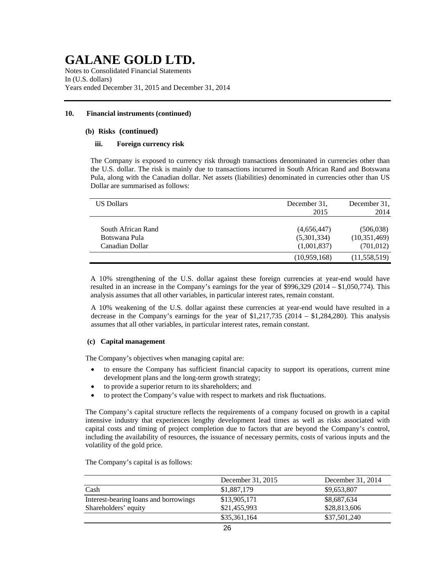Notes to Consolidated Financial Statements In (U.S. dollars) Years ended December 31, 2015 and December 31, 2014

## **10. Financial instruments (continued)**

#### **(b) Risks (continued)**

### **iii. Foreign currency risk**

The Company is exposed to currency risk through transactions denominated in currencies other than the U.S. dollar. The risk is mainly due to transactions incurred in South African Rand and Botswana Pula, along with the Canadian dollar. Net assets (liabilities) denominated in currencies other than US Dollar are summarised as follows:

| <b>US Dollars</b>                | December 31.<br>2015       | December 31,<br>2014       |
|----------------------------------|----------------------------|----------------------------|
| South African Rand               | (4,656,447)                | (506, 038)                 |
| Botswana Pula<br>Canadian Dollar | (5,301,334)<br>(1,001,837) | (10,351,469)<br>(701, 012) |
|                                  | (10.959, 168)              | (11,558,519)               |

A 10% strengthening of the U.S. dollar against these foreign currencies at year-end would have resulted in an increase in the Company's earnings for the year of \$996,329 (2014 – \$1,050,774). This analysis assumes that all other variables, in particular interest rates, remain constant.

A 10% weakening of the U.S. dollar against these currencies at year-end would have resulted in a decrease in the Company's earnings for the year of \$1,217,735 (2014 – \$1,284,280). This analysis assumes that all other variables, in particular interest rates, remain constant.

# **(c) Capital management**

The Company's objectives when managing capital are:

- to ensure the Company has sufficient financial capacity to support its operations, current mine development plans and the long-term growth strategy;
- to provide a superior return to its shareholders; and
- to protect the Company's value with respect to markets and risk fluctuations.

The Company's capital structure reflects the requirements of a company focused on growth in a capital intensive industry that experiences lengthy development lead times as well as risks associated with capital costs and timing of project completion due to factors that are beyond the Company's control, including the availability of resources, the issuance of necessary permits, costs of various inputs and the volatility of the gold price.

|                                       | December 31, 2015 | December 31, 2014 |
|---------------------------------------|-------------------|-------------------|
| Cash                                  | \$1,887,179       | \$9,653,807       |
| Interest-bearing loans and borrowings | \$13,905,171      | \$8,687,634       |
| Shareholders' equity                  | \$21,455,993      | \$28,813,606      |
|                                       | \$35,361,164      | \$37,501,240      |

The Company's capital is as follows: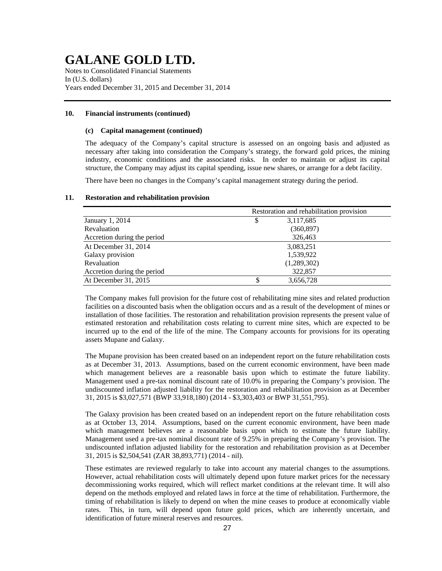Notes to Consolidated Financial Statements In (U.S. dollars) Years ended December 31, 2015 and December 31, 2014

#### **10. Financial instruments (continued)**

### **(c) Capital management (continued)**

The adequacy of the Company's capital structure is assessed on an ongoing basis and adjusted as necessary after taking into consideration the Company's strategy, the forward gold prices, the mining industry, economic conditions and the associated risks. In order to maintain or adjust its capital structure, the Company may adjust its capital spending, issue new shares, or arrange for a debt facility.

There have been no changes in the Company's capital management strategy during the period.

#### **11. Restoration and rehabilitation provision**

|                             | Restoration and rehabilitation provision |
|-----------------------------|------------------------------------------|
| January 1, 2014             | 3,117,685<br>S                           |
| Revaluation                 | (360, 897)                               |
| Accretion during the period | 326,463                                  |
| At December 31, 2014        | 3,083,251                                |
| Galaxy provision            | 1,539,922                                |
| Revaluation                 | (1,289,302)                              |
| Accretion during the period | 322,857                                  |
| At December 31, 2015        | 3,656,728<br>\$                          |

The Company makes full provision for the future cost of rehabilitating mine sites and related production facilities on a discounted basis when the obligation occurs and as a result of the development of mines or installation of those facilities. The restoration and rehabilitation provision represents the present value of estimated restoration and rehabilitation costs relating to current mine sites, which are expected to be incurred up to the end of the life of the mine. The Company accounts for provisions for its operating assets Mupane and Galaxy.

The Mupane provision has been created based on an independent report on the future rehabilitation costs as at December 31, 2013. Assumptions, based on the current economic environment, have been made which management believes are a reasonable basis upon which to estimate the future liability. Management used a pre-tax nominal discount rate of 10.0% in preparing the Company's provision. The undiscounted inflation adjusted liability for the restoration and rehabilitation provision as at December 31, 2015 is \$3,027,571 (BWP 33,918,180) (2014 - \$3,303,403 or BWP 31,551,795).

The Galaxy provision has been created based on an independent report on the future rehabilitation costs as at October 13, 2014. Assumptions, based on the current economic environment, have been made which management believes are a reasonable basis upon which to estimate the future liability. Management used a pre-tax nominal discount rate of 9.25% in preparing the Company's provision. The undiscounted inflation adjusted liability for the restoration and rehabilitation provision as at December 31, 2015 is \$2,504,541 (ZAR 38,893,771) (2014 - nil).

These estimates are reviewed regularly to take into account any material changes to the assumptions. However, actual rehabilitation costs will ultimately depend upon future market prices for the necessary decommissioning works required, which will reflect market conditions at the relevant time. It will also depend on the methods employed and related laws in force at the time of rehabilitation. Furthermore, the timing of rehabilitation is likely to depend on when the mine ceases to produce at economically viable rates. This, in turn, will depend upon future gold prices, which are inherently uncertain, and identification of future mineral reserves and resources.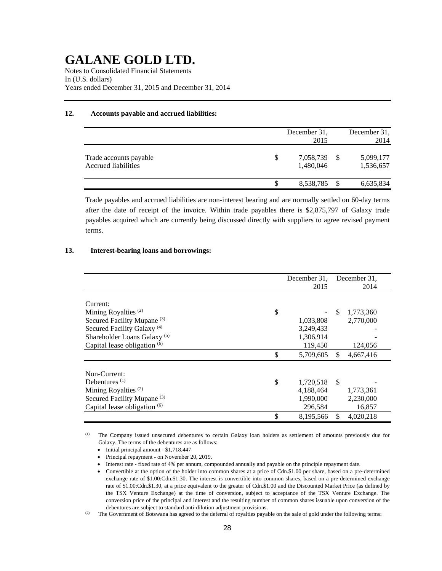Notes to Consolidated Financial Statements In (U.S. dollars) Years ended December 31, 2015 and December 31, 2014

# **12. Accounts payable and accrued liabilities:**

|                                               |     | December 31,<br>2015   |               | December 31,<br>2014   |
|-----------------------------------------------|-----|------------------------|---------------|------------------------|
| Trade accounts payable<br>Accrued liabilities | \$. | 7,058,739<br>1,480,046 | <sup>\$</sup> | 5,099,177<br>1,536,657 |
|                                               |     | 8,538,785              | -\$           | 6,635,834              |

Trade payables and accrued liabilities are non-interest bearing and are normally settled on 60-day terms after the date of receipt of the invoice. Within trade payables there is \$2,875,797 of Galaxy trade payables acquired which are currently being discussed directly with suppliers to agree revised payment terms.

### **13. Interest-bearing loans and borrowings:**

|                                         | December 31,    |     | December 31. |
|-----------------------------------------|-----------------|-----|--------------|
|                                         | 2015            |     | 2014         |
|                                         |                 |     |              |
| Current:                                |                 |     |              |
| Mining Royalties <sup>(2)</sup>         | \$              | -S  | 1,773,360    |
| Secured Facility Mupane <sup>(3)</sup>  | 1,033,808       |     | 2,770,000    |
| Secured Facility Galaxy <sup>(4)</sup>  | 3,249,433       |     |              |
| Shareholder Loans Galaxy <sup>(5)</sup> | 1,306,914       |     |              |
| Capital lease obligation (6)            | 119,450         |     | 124,056      |
|                                         | \$<br>5,709,605 | \$. | 4,667,416    |
| Non-Current:                            |                 |     |              |
|                                         |                 |     |              |
| Debentures $(1)$                        | \$<br>1,720,518 | -S  |              |
| Mining Royalties <sup>(2)</sup>         | 4,188,464       |     | 1,773,361    |
| Secured Facility Mupane <sup>(3)</sup>  | 1,990,000       |     | 2,230,000    |
| Capital lease obligation (6)            | 296,584         |     | 16,857       |
|                                         | \$<br>8,195,566 | \$  | 4,020,218    |

(1) The Company issued unsecured debentures to certain Galaxy loan holders as settlement of amounts previously due for Galaxy. The terms of the debentures are as follows:

- Principal repayment on November 20, 2019.
- Interest rate fixed rate of 4% per annum, compounded annually and payable on the principle repayment date.
- Convertible at the option of the holder into common shares at a price of Cdn.\$1.00 per share, based on a pre-determined exchange rate of \$1.00:Cdn.\$1.30. The interest is convertible into common shares, based on a pre-determined exchange rate of \$1.00:Cdn.\$1.30, at a price equivalent to the greater of Cdn.\$1.00 and the Discounted Market Price (as defined by the TSX Venture Exchange) at the time of conversion, subject to acceptance of the TSX Venture Exchange. The conversion price of the principal and interest and the resulting number of common shares issuable upon conversion of the

debentures are subject to standard anti-dilution adjustment provisions.<br>
<sup>(2)</sup> The Government of Botswana has agreed to the deferral of royalties payable on the sale of gold under the following terms:

<sup>•</sup> Initial principal amount - \$1,718,447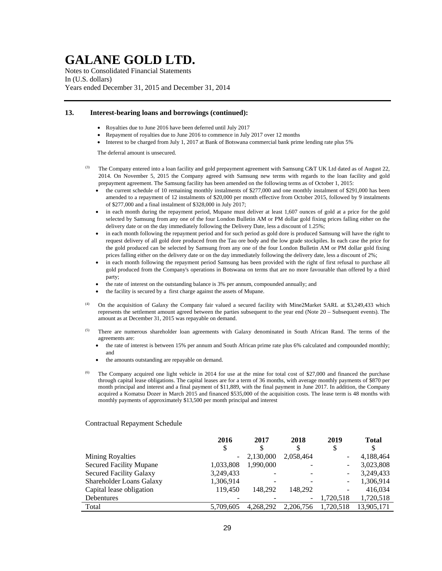Notes to Consolidated Financial Statements In (U.S. dollars) Years ended December 31, 2015 and December 31, 2014

#### **13. Interest-bearing loans and borrowings (continued):**

- Royalties due to June 2016 have been deferred until July 2017
- Repayment of royalties due to June 2016 to commence in July 2017 over 12 months
- Interest to be charged from July 1, 2017 at Bank of Botswana commercial bank prime lending rate plus 5%

The deferral amount is unsecured.

- <sup>(3)</sup> The Company entered into a loan facility and gold prepayment agreement with Samsung C&T UK Ltd dated as of August 22, 2014. On November 5, 2015 the Company agreed with Samsung new terms with regards to the loan facility and gold prepayment agreement. The Samsung facility has been amended on the following terms as of October 1, 2015:
	- the current schedule of 10 remaining monthly instalments of \$277,000 and one monthly instalment of \$291,000 has been amended to a repayment of 12 instalments of \$20,000 per month effective from October 2015, followed by 9 instalments of \$277,000 and a final instalment of \$328,000 in July 2017;
	- in each month during the repayment period, Mupane must deliver at least 1,607 ounces of gold at a price for the gold selected by Samsung from any one of the four London Bulletin AM or PM dollar gold fixing prices falling either on the delivery date or on the day immediately following the Delivery Date, less a discount of 1.25%;
	- in each month following the repayment period and for such period as gold dore is produced Samsung will have the right to request delivery of all gold dore produced from the Tau ore body and the low grade stockpiles. In each case the price for the gold produced can be selected by Samsung from any one of the four London Bulletin AM or PM dollar gold fixing prices falling either on the delivery date or on the day immediately following the delivery date, less a discount of 2%;
	- in each month following the repayment period Samsung has been provided with the right of first refusal to purchase all gold produced from the Company's operations in Botswana on terms that are no more favourable than offered by a third party;
	- the rate of interest on the outstanding balance is 3% per annum, compounded annually; and
	- the facility is secured by a first charge against the assets of Mupane.
- (4) On the acquisition of Galaxy the Company fair valued a secured facility with Mine2Market SARL at \$3,249,433 which represents the settlement amount agreed between the parties subsequent to the year end (Note 20 – Subsequent events). The amount as at December 31, 2015 was repayable on demand.
- <sup>(5)</sup> There are numerous shareholder loan agreements with Galaxy denominated in South African Rand. The terms of the agreements are:
	- the rate of interest is between 15% per annum and South African prime rate plus 6% calculated and compounded monthly; and
	- the amounts outstanding are repayable on demand.
- The Company acquired one light vehicle in 2014 for use at the mine for total cost of \$27,000 and financed the purchase through capital lease obligations. The capital leases are for a term of 36 months, with average monthly payments of \$870 per month principal and interest and a final payment of \$11,889, with the final payment in June 2017. In addition, the Company acquired a Komatsu Dozer in March 2015 and financed \$535,000 of the acquisition costs. The lease term is 48 months with monthly payments of approximately \$13,500 per month principal and interest

Contractual Repayment Schedule

|                                | 2016      | 2017                     | 2018      | 2019      | <b>Total</b> |
|--------------------------------|-----------|--------------------------|-----------|-----------|--------------|
|                                | \$        |                          | \$.       | \$        | \$           |
| <b>Mining Royalties</b>        | -         | 2,130,000                | 2.058.464 |           | 4,188,464    |
| <b>Secured Facility Mupane</b> | 1,033,808 | 1.990.000                |           |           | 3,023,808    |
| <b>Secured Facility Galaxy</b> | 3,249,433 |                          |           |           | 3,249,433    |
| Shareholder Loans Galaxy       | 1,306,914 | $\overline{\phantom{a}}$ |           |           | 1,306,914    |
| Capital lease obligation       | 119.450   | 148.292                  | 148.292   |           | 416,034      |
| Debentures                     |           |                          | Ξ.        | 1.720.518 | 1,720,518    |
| Total                          | 5.709.605 | 4.268.292                | 2.206.756 | 1.720.518 | 13,905,171   |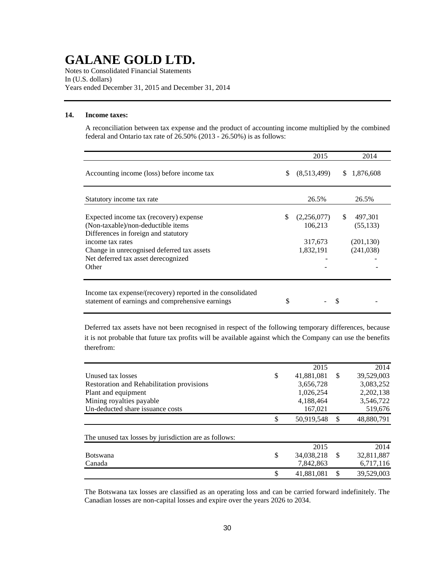Notes to Consolidated Financial Statements In (U.S. dollars) Years ended December 31, 2015 and December 31, 2014

# **14. Income taxes:**

A reconciliation between tax expense and the product of accounting income multiplied by the combined federal and Ontario tax rate of 26.50% (2013 - 26.50%) is as follows:

|                                                                                                                                                                                                                                        |    | 2015                                           |     | 2014                                             |
|----------------------------------------------------------------------------------------------------------------------------------------------------------------------------------------------------------------------------------------|----|------------------------------------------------|-----|--------------------------------------------------|
| Accounting income (loss) before income tax                                                                                                                                                                                             | \$ | (8,513,499)                                    | \$. | 1,876,608                                        |
| Statutory income tax rate                                                                                                                                                                                                              |    | 26.5%                                          |     | 26.5%                                            |
| Expected income tax (recovery) expense<br>(Non-taxable)/non-deductible items<br>Differences in foreign and statutory<br>income tax rates<br>Change in unrecognised deferred tax assets<br>Net deferred tax asset derecognized<br>Other | £. | (2,256,077)<br>106,213<br>317,673<br>1,832,191 | S   | 497,301<br>(55, 133)<br>(201, 130)<br>(241, 038) |
| Income tax expense/(recovery) reported in the consolidated<br>statement of earnings and comprehensive earnings                                                                                                                         | \$ |                                                | S   |                                                  |

Deferred tax assets have not been recognised in respect of the following temporary differences, because it is not probable that future tax profits will be available against which the Company can use the benefits therefrom:

|                                                       | 2015             |    | 2014       |
|-------------------------------------------------------|------------------|----|------------|
| Unused tax losses                                     | \$<br>41,881,081 | S  | 39,529,003 |
| Restoration and Rehabilitation provisions             | 3,656,728        |    | 3,083,252  |
| Plant and equipment                                   | 1,026,254        |    | 2,202,138  |
| Mining royalties payable                              | 4,188,464        |    | 3,546,722  |
| Un-deducted share issuance costs                      | 167,021          |    | 519,676    |
|                                                       | \$<br>50,919,548 | -S | 48,880,791 |
| The unused tax losses by jurisdiction are as follows: |                  |    |            |
|                                                       | 2015             |    | 2014       |
| <b>Botswana</b>                                       | \$<br>34,038,218 | \$ | 32,811,887 |
| Canada                                                | 7,842,863        |    | 6,717,116  |
|                                                       | \$<br>41.881.081 | S  | 39,529,003 |

The Botswana tax losses are classified as an operating loss and can be carried forward indefinitely. The Canadian losses are non-capital losses and expire over the years 2026 to 2034.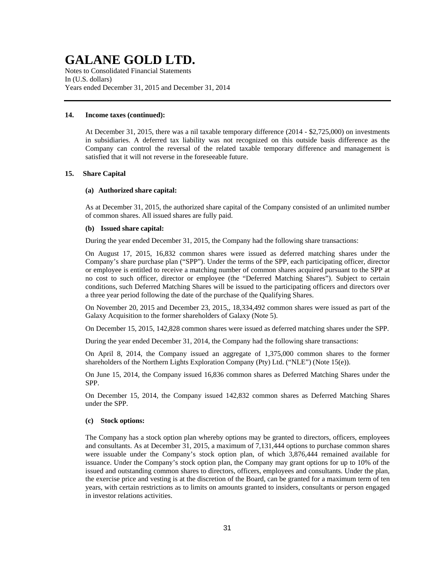Notes to Consolidated Financial Statements In (U.S. dollars) Years ended December 31, 2015 and December 31, 2014

### **14. Income taxes (continued):**

At December 31, 2015, there was a nil taxable temporary difference (2014 - \$2,725,000) on investments in subsidiaries. A deferred tax liability was not recognized on this outside basis difference as the Company can control the reversal of the related taxable temporary difference and management is satisfied that it will not reverse in the foreseeable future.

#### **15. Share Capital**

#### **(a) Authorized share capital:**

As at December 31, 2015, the authorized share capital of the Company consisted of an unlimited number of common shares. All issued shares are fully paid.

#### **(b) Issued share capital:**

During the year ended December 31, 2015, the Company had the following share transactions:

On August 17, 2015, 16,832 common shares were issued as deferred matching shares under the Company's share purchase plan ("SPP"). Under the terms of the SPP, each participating officer, director or employee is entitled to receive a matching number of common shares acquired pursuant to the SPP at no cost to such officer, director or employee (the "Deferred Matching Shares"). Subject to certain conditions, such Deferred Matching Shares will be issued to the participating officers and directors over a three year period following the date of the purchase of the Qualifying Shares.

On November 20, 2015 and December 23, 2015,, 18,334,492 common shares were issued as part of the Galaxy Acquisition to the former shareholders of Galaxy (Note 5).

On December 15, 2015, 142,828 common shares were issued as deferred matching shares under the SPP.

During the year ended December 31, 2014, the Company had the following share transactions:

On April 8, 2014, the Company issued an aggregate of 1,375,000 common shares to the former shareholders of the Northern Lights Exploration Company (Pty) Ltd. ("NLE") (Note 15(e)).

On June 15, 2014, the Company issued 16,836 common shares as Deferred Matching Shares under the SPP.

On December 15, 2014, the Company issued 142,832 common shares as Deferred Matching Shares under the SPP.

#### **(c) Stock options:**

The Company has a stock option plan whereby options may be granted to directors, officers, employees and consultants. As at December 31, 2015, a maximum of 7,131,444 options to purchase common shares were issuable under the Company's stock option plan, of which 3,876,444 remained available for issuance. Under the Company's stock option plan, the Company may grant options for up to 10% of the issued and outstanding common shares to directors, officers, employees and consultants. Under the plan, the exercise price and vesting is at the discretion of the Board, can be granted for a maximum term of ten years, with certain restrictions as to limits on amounts granted to insiders, consultants or person engaged in investor relations activities.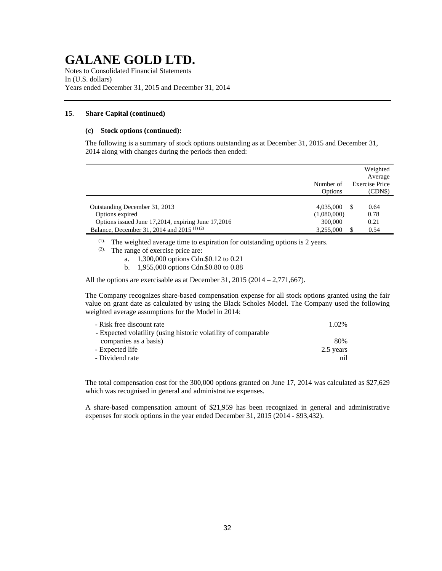Notes to Consolidated Financial Statements In (U.S. dollars) Years ended December 31, 2015 and December 31, 2014

## **15**. **Share Capital (continued)**

#### **(c) Stock options (continued):**

The following is a summary of stock options outstanding as at December 31, 2015 and December 31, 2014 along with changes during the periods then ended:

|                                                                                                        | Number of<br>Options                | Weighted<br>Average<br><b>Exercise Price</b><br>(CDN\$) |
|--------------------------------------------------------------------------------------------------------|-------------------------------------|---------------------------------------------------------|
| Outstanding December 31, 2013<br>Options expired<br>Options issued June 17,2014, expiring June 17,2016 | 4.035.000<br>(1,080,000)<br>300,000 | 0.64<br>0.78<br>0.21                                    |
| Balance, December 31, 2014 and 2015 <sup>(1)(2)</sup>                                                  | 3.255,000                           | 0.54                                                    |

(1). The weighted average time to expiration for outstanding options is 2 years.

- (2). The range of exercise price are:
	- a. 1,300,000 options Cdn.\$0.12 to 0.21
	- b. 1,955,000 options Cdn.\$0.80 to 0.88

All the options are exercisable as at December 31, 2015 (2014 – 2,771,667).

The Company recognizes share-based compensation expense for all stock options granted using the fair value on grant date as calculated by using the Black Scholes Model. The Company used the following weighted average assumptions for the Model in 2014:

| - Risk free discount rate                                      | 1.02%     |
|----------------------------------------------------------------|-----------|
| - Expected volatility (using historic volatility of comparable |           |
| companies as a basis)                                          | 80%       |
| - Expected life                                                | 2.5 years |
| - Dividend rate                                                | nil       |

The total compensation cost for the 300,000 options granted on June 17, 2014 was calculated as \$27,629 which was recognised in general and administrative expenses.

A share-based compensation amount of \$21,959 has been recognized in general and administrative expenses for stock options in the year ended December 31, 2015 (2014 - \$93,432).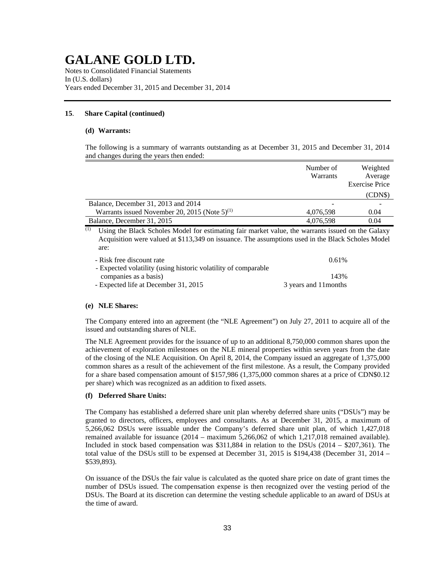Notes to Consolidated Financial Statements In (U.S. dollars) Years ended December 31, 2015 and December 31, 2014

### **15**. **Share Capital (continued)**

#### **(d) Warrants:**

The following is a summary of warrants outstanding as at December 31, 2015 and December 31, 2014 and changes during the years then ended:

|                                                    | Number of<br>Warrants | Weighted<br>Average<br><b>Exercise Price</b> |
|----------------------------------------------------|-----------------------|----------------------------------------------|
|                                                    |                       | (CDN\$)                                      |
| Balance, December 31, 2013 and 2014                |                       |                                              |
| Warrants issued November 20, 2015 (Note $5)^{(1)}$ | 4,076,598             | 0.04                                         |
| Balance, December 31, 2015                         | 4,076,598             | 0.04                                         |

 $\overline{^{(1)}}$  Using the Black Scholes Model for estimating fair market value, the warrants issued on the Galaxy Acquisition were valued at \$113,349 on issuance. The assumptions used in the Black Scholes Model are:

| - Risk free discount rate                                      | 0.61%                 |
|----------------------------------------------------------------|-----------------------|
| - Expected volatility (using historic volatility of comparable |                       |
| companies as a basis)                                          | 143%                  |
| - Expected life at December 31, 2015                           | 3 years and 11 months |

#### **(e) NLE Shares:**

The Company entered into an agreement (the "NLE Agreement") on July 27, 2011 to acquire all of the issued and outstanding shares of NLE.

The NLE Agreement provides for the issuance of up to an additional 8,750,000 common shares upon the achievement of exploration milestones on the NLE mineral properties within seven years from the date of the closing of the NLE Acquisition. On April 8, 2014, the Company issued an aggregate of 1,375,000 common shares as a result of the achievement of the first milestone. As a result, the Company provided for a share based compensation amount of \$157,986 (1,375,000 common shares at a price of CDN\$0.12 per share) which was recognized as an addition to fixed assets.

#### **(f) Deferred Share Units:**

The Company has established a deferred share unit plan whereby deferred share units ("DSUs") may be granted to directors, officers, employees and consultants. As at December 31, 2015, a maximum of 5,266,062 DSUs were issuable under the Company's deferred share unit plan, of which 1,427,018 remained available for issuance (2014 – maximum 5,266,062 of which 1,217,018 remained available). Included in stock based compensation was \$311,884 in relation to the DSUs (2014 – \$207,361). The total value of the DSUs still to be expensed at December 31, 2015 is \$194,438 (December 31, 2014 – \$539,893).

On issuance of the DSUs the fair value is calculated as the quoted share price on date of grant times the number of DSUs issued. The compensation expense is then recognized over the vesting period of the DSUs. The Board at its discretion can determine the vesting schedule applicable to an award of DSUs at the time of award.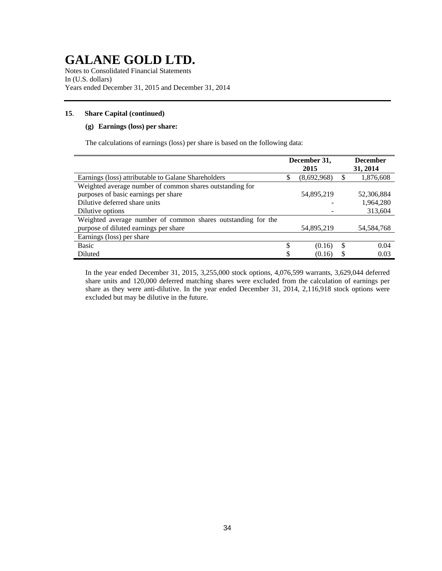Notes to Consolidated Financial Statements In (U.S. dollars) Years ended December 31, 2015 and December 31, 2014

# **15**. **Share Capital (continued)**

## **(g) Earnings (loss) per share:**

The calculations of earnings (loss) per share is based on the following data:

|                                                              | December 31,<br>2015 |             |     | <b>December</b><br>31, 2014 |
|--------------------------------------------------------------|----------------------|-------------|-----|-----------------------------|
| Earnings (loss) attributable to Galane Shareholders          | \$                   | (8,692,968) | \$. | 1,876,608                   |
| Weighted average number of common shares outstanding for     |                      |             |     |                             |
| purposes of basic earnings per share                         |                      | 54,895,219  |     | 52,306,884                  |
| Dilutive deferred share units                                |                      |             |     | 1,964,280                   |
| Dilutive options                                             |                      |             |     | 313,604                     |
| Weighted average number of common shares outstanding for the |                      |             |     |                             |
| purpose of diluted earnings per share                        |                      | 54,895,219  |     | 54, 584, 768                |
| Earnings (loss) per share                                    |                      |             |     |                             |
| <b>Basic</b>                                                 | Φ                    | (0.16)      | S   | 0.04                        |
| Diluted                                                      |                      | (0.16)      |     | 0.03                        |

In the year ended December 31, 2015, 3,255,000 stock options, 4,076,599 warrants, 3,629,044 deferred share units and 120,000 deferred matching shares were excluded from the calculation of earnings per share as they were anti-dilutive. In the year ended December 31, 2014, 2,116,918 stock options were excluded but may be dilutive in the future.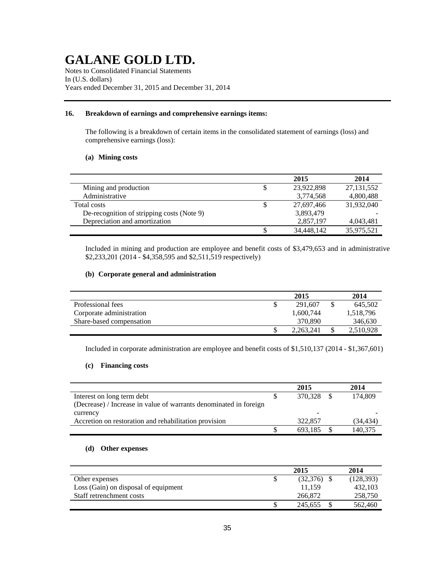Notes to Consolidated Financial Statements In (U.S. dollars) Years ended December 31, 2015 and December 31, 2014

#### **16. Breakdown of earnings and comprehensive earnings items:**

The following is a breakdown of certain items in the consolidated statement of earnings (loss) and comprehensive earnings (loss):

#### **(a) Mining costs**

|                                            |   | 2015       | 2014         |
|--------------------------------------------|---|------------|--------------|
| Mining and production                      | S | 23.922.898 | 27, 131, 552 |
| Administrative                             |   | 3,774,568  | 4,800,488    |
| Total costs                                | S | 27,697,466 | 31,932,040   |
| De-recognition of stripping costs (Note 9) |   | 3,893,479  |              |
| Depreciation and amortization              |   | 2,857,197  | 4,043,481    |
|                                            |   | 34,448,142 | 35,975,521   |

Included in mining and production are employee and benefit costs of \$3,479,653 and in administrative \$2,233,201 (2014 - \$4,358,595 and \$2,511,519 respectively)

# **(b) Corporate general and administration**

|                          | 2015      |  |           |
|--------------------------|-----------|--|-----------|
| Professional fees        | 291,607   |  | 645.502   |
| Corporate administration | 1.600.744 |  | 1,518,796 |
| Share-based compensation | 370,890   |  | 346,630   |
|                          | 2,263,241 |  | 2,510,928 |

Included in corporate administration are employee and benefit costs of \$1,510,137 (2014 - \$1,367,601)

## **(c) Financing costs**

|                                                                   | 2015    | 2014     |
|-------------------------------------------------------------------|---------|----------|
| Interest on long term debt                                        | 370,328 | 174,809  |
| (Decrease) / Increase in value of warrants denominated in foreign |         |          |
| currency                                                          | -       |          |
| Accretion on restoration and rehabilitation provision             | 322,857 | (34.434) |
|                                                                   | 693.185 | 140,375  |

### **(d) Other expenses**

|                                      | 2015     |            |  |
|--------------------------------------|----------|------------|--|
| Other expenses                       | (32,376) | (128, 393) |  |
| Loss (Gain) on disposal of equipment | 11.159   | 432.103    |  |
| Staff retrenchment costs             | 266,872  | 258,750    |  |
|                                      | 245,655  | 562,460    |  |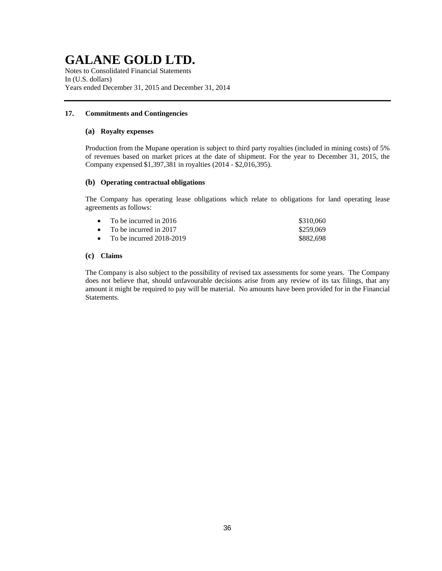Notes to Consolidated Financial Statements In (U.S. dollars) Years ended December 31, 2015 and December 31, 2014

## **17. Commitments and Contingencies**

#### **(a) Royalty expenses**

Production from the Mupane operation is subject to third party royalties (included in mining costs) of 5% of revenues based on market prices at the date of shipment. For the year to December 31, 2015, the Company expensed \$1,397,381 in royalties (2014 - \$2,016,395).

### **(b) Operating contractual obligations**

The Company has operating lease obligations which relate to obligations for land operating lease agreements as follows:

| • To be incurred in 2016     | \$310,060 |
|------------------------------|-----------|
| • To be incurred in 2017     | \$259.069 |
| • To be incurred $2018-2019$ | \$882.698 |

### **(c) Claims**

The Company is also subject to the possibility of revised tax assessments for some years. The Company does not believe that, should unfavourable decisions arise from any review of its tax filings, that any amount it might be required to pay will be material. No amounts have been provided for in the Financial Statements.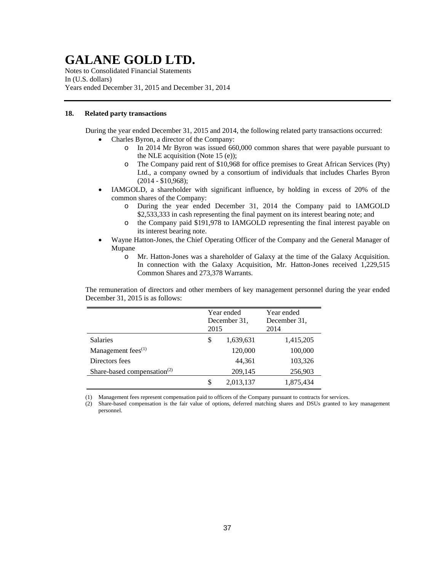Notes to Consolidated Financial Statements In (U.S. dollars) Years ended December 31, 2015 and December 31, 2014

#### **18. Related party transactions**

During the year ended December 31, 2015 and 2014, the following related party transactions occurred:

- Charles Byron, a director of the Company:
	- o In 2014 Mr Byron was issued 660,000 common shares that were payable pursuant to the NLE acquisition (Note 15 (e));
	- o The Company paid rent of \$10,968 for office premises to Great African Services (Pty) Ltd., a company owned by a consortium of individuals that includes Charles Byron (2014 - \$10,968);
- IAMGOLD, a shareholder with significant influence, by holding in excess of 20% of the common shares of the Company:
	- o During the year ended December 31, 2014 the Company paid to IAMGOLD \$2,533,333 in cash representing the final payment on its interest bearing note; and
	- o the Company paid \$191,978 to IAMGOLD representing the final interest payable on its interest bearing note.
- Wayne Hatton-Jones, the Chief Operating Officer of the Company and the General Manager of Mupane
	- o Mr. Hatton-Jones was a shareholder of Galaxy at the time of the Galaxy Acquisition. In connection with the Galaxy Acquisition, Mr. Hatton-Jones received 1,229,515 Common Shares and 273,378 Warrants.

The remuneration of directors and other members of key management personnel during the year ended December 31, 2015 is as follows:

|                                                      |                      | Year ended | Year ended<br>December 31. |
|------------------------------------------------------|----------------------|------------|----------------------------|
|                                                      | December 31.<br>2015 |            | 2014                       |
|                                                      |                      |            |                            |
| <b>Salaries</b>                                      | \$                   | 1,639,631  | 1,415,205                  |
| Management fees <sup>(1)</sup>                       |                      | 120,000    | 100,000                    |
| Directors fees                                       |                      | 44,361     | 103,326                    |
| Share-based compensation <sup><math>(2)</math></sup> |                      | 209,145    | 256,903                    |
|                                                      | \$                   | 2,013,137  | 1,875,434                  |

(1) Management fees represent compensation paid to officers of the Company pursuant to contracts for services.

(2) Share-based compensation is the fair value of options, deferred matching shares and DSUs granted to key management personnel.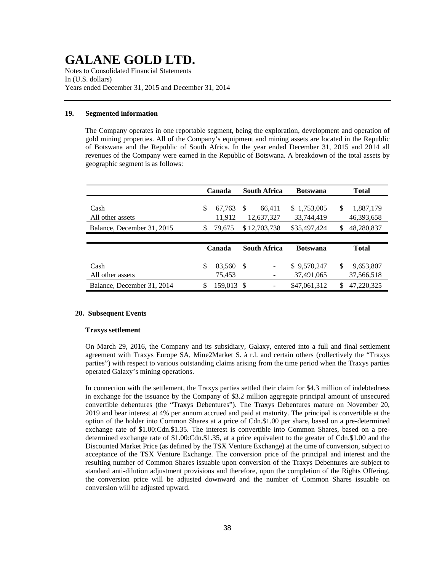Notes to Consolidated Financial Statements In (U.S. dollars) Years ended December 31, 2015 and December 31, 2014

#### **19. Segmented information**

The Company operates in one reportable segment, being the exploration, development and operation of gold mining properties. All of the Company's equipment and mining assets are located in the Republic of Botswana and the Republic of South Africa. In the year ended December 31, 2015 and 2014 all revenues of the Company were earned in the Republic of Botswana. A breakdown of the total assets by geographic segment is as follows:

|                            | Canada |            | <b>South Africa</b> |                          | <b>Botswana</b> | <b>Total</b> |              |
|----------------------------|--------|------------|---------------------|--------------------------|-----------------|--------------|--------------|
|                            |        |            |                     |                          |                 |              |              |
| Cash                       | \$     | 67.763     | <sup>\$</sup>       | 66,411                   | \$1,753,005     | \$           | 1,887,179    |
| All other assets           |        | 11.912     |                     | 12,637,327               | 33,744,419      |              | 46,393,658   |
| Balance, December 31, 2015 | S      | 79,675     | \$12,703,738        |                          | \$35,497,424    | \$           | 48,280,837   |
|                            |        |            |                     |                          |                 |              |              |
|                            | Canada |            |                     | <b>South Africa</b>      | <b>Botswana</b> |              | <b>Total</b> |
|                            |        |            |                     |                          |                 |              |              |
| Cash                       | \$     | 83,560     | - \$                | $\overline{\phantom{0}}$ | \$9,570,247     | \$           | 9,653,807    |
| All other assets           |        | 75,453     |                     | $\overline{\phantom{a}}$ | 37,491,065      |              | 37,566,518   |
| Balance, December 31, 2014 | S      | 159,013 \$ |                     | $\qquad \qquad -$        | \$47,061,312    |              | 47,220,325   |

### **20. Subsequent Events**

#### **Traxys settlement**

On March 29, 2016, the Company and its subsidiary, Galaxy, entered into a full and final settlement agreement with Traxys Europe SA, Mine2Market S. à r.l. and certain others (collectively the "Traxys parties") with respect to various outstanding claims arising from the time period when the Traxys parties operated Galaxy's mining operations.

In connection with the settlement, the Traxys parties settled their claim for \$4.3 million of indebtedness in exchange for the issuance by the Company of \$3.2 million aggregate principal amount of unsecured convertible debentures (the "Traxys Debentures"). The Traxys Debentures mature on November 20, 2019 and bear interest at 4% per annum accrued and paid at maturity. The principal is convertible at the option of the holder into Common Shares at a price of Cdn.\$1.00 per share, based on a pre-determined exchange rate of \$1.00:Cdn.\$1.35. The interest is convertible into Common Shares, based on a predetermined exchange rate of \$1.00:Cdn.\$1.35, at a price equivalent to the greater of Cdn.\$1.00 and the Discounted Market Price (as defined by the TSX Venture Exchange) at the time of conversion, subject to acceptance of the TSX Venture Exchange. The conversion price of the principal and interest and the resulting number of Common Shares issuable upon conversion of the Traxys Debentures are subject to standard anti-dilution adjustment provisions and therefore, upon the completion of the Rights Offering, the conversion price will be adjusted downward and the number of Common Shares issuable on conversion will be adjusted upward.